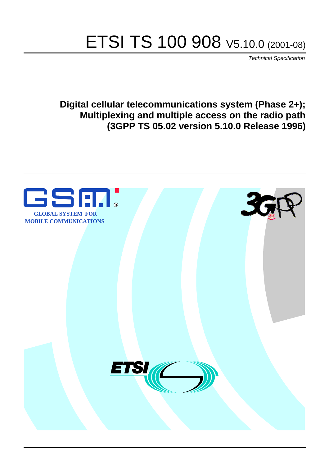# ETSI TS 100 908 V5.10.0 (2001-08)

Technical Specification

**Digital cellular telecommunications system (Phase 2+); Multiplexing and multiple access on the radio path (3GPP TS 05.02 version 5.10.0 Release 1996)**

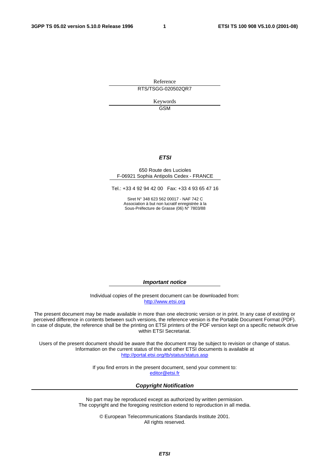Reference RTS/TSGG-020502QR7

> Keywords GSM

#### **ETSI**

#### 650 Route des Lucioles F-06921 Sophia Antipolis Cedex - FRANCE

Tel.: +33 4 92 94 42 00 Fax: +33 4 93 65 47 16

Siret N° 348 623 562 00017 - NAF 742 C Association à but non lucratif enregistrée à la Sous-Préfecture de Grasse (06) N° 7803/88

**Important notice** 

Individual copies of the present document can be downloaded from: [http://www.etsi.org](http://www.etsi.org/)

The present document may be made available in more than one electronic version or in print. In any case of existing or perceived difference in contents between such versions, the reference version is the Portable Document Format (PDF). In case of dispute, the reference shall be the printing on ETSI printers of the PDF version kept on a specific network drive within ETSI Secretariat.

Users of the present document should be aware that the document may be subject to revision or change of status. Information on the current status of this and other ETSI documents is available at <http://portal.etsi.org/tb/status/status.asp>

> If you find errors in the present document, send your comment to: [editor@etsi.fr](mailto:editor@etsi.fr)

#### **Copyright Notification**

No part may be reproduced except as authorized by written permission. The copyright and the foregoing restriction extend to reproduction in all media.

> © European Telecommunications Standards Institute 2001. All rights reserved.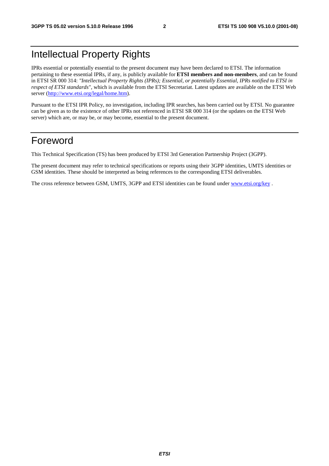### Intellectual Property Rights

IPRs essential or potentially essential to the present document may have been declared to ETSI. The information pertaining to these essential IPRs, if any, is publicly available for **ETSI members and non-members**, and can be found in ETSI SR 000 314: *"Intellectual Property Rights (IPRs); Essential, or potentially Essential, IPRs notified to ETSI in respect of ETSI standards"*, which is available from the ETSI Secretariat. Latest updates are available on the ETSI Web server ([http://www.etsi.org/legal/home.htm\)](http://www.etsi.org/legal/home.htm).

Pursuant to the ETSI IPR Policy, no investigation, including IPR searches, has been carried out by ETSI. No guarantee can be given as to the existence of other IPRs not referenced in ETSI SR 000 314 (or the updates on the ETSI Web server) which are, or may be, or may become, essential to the present document.

### Foreword

This Technical Specification (TS) has been produced by ETSI 3rd Generation Partnership Project (3GPP).

The present document may refer to technical specifications or reports using their 3GPP identities, UMTS identities or GSM identities. These should be interpreted as being references to the corresponding ETSI deliverables.

The cross reference between GSM, UMTS, 3GPP and ETSI identities can be found under [www.etsi.org/key](http://www.etsi.org/key) .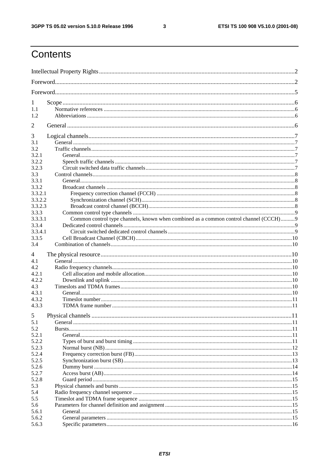$\mathbf{3}$ 

### Contents

| 1              |                                                                                       |    |
|----------------|---------------------------------------------------------------------------------------|----|
| 1.1            |                                                                                       |    |
| 1.2            |                                                                                       |    |
| 2              |                                                                                       |    |
| 3              |                                                                                       |    |
| 3.1            |                                                                                       |    |
| 3.2            |                                                                                       |    |
| 3.2.1          |                                                                                       |    |
| 3.2.2          |                                                                                       |    |
| 3.2.3          |                                                                                       |    |
| 3.3            |                                                                                       |    |
| 3.3.1          |                                                                                       |    |
| 3.3.2          |                                                                                       |    |
| 3.3.2.1        |                                                                                       |    |
| 3.3.2.2        |                                                                                       |    |
| 3.3.2.3        |                                                                                       |    |
| 3.3.3          |                                                                                       |    |
| 3.3.3.1        | Common control type channels, known when combined as a common control channel (CCCH)9 |    |
| 3.3.4          |                                                                                       |    |
| 3.3.4.1        |                                                                                       |    |
| 3.3.5          |                                                                                       |    |
| 3.4            |                                                                                       |    |
| 4              |                                                                                       |    |
| 4.1            |                                                                                       |    |
| 4.2            |                                                                                       |    |
| 4.2.1          |                                                                                       |    |
| 4.2.2          |                                                                                       |    |
| 4.3            |                                                                                       |    |
| 4.3.1          |                                                                                       |    |
| 4.3.2          |                                                                                       |    |
| 4.3.3          |                                                                                       |    |
|                |                                                                                       |    |
| 5              |                                                                                       | 11 |
| 5.1            |                                                                                       |    |
| 5.2            |                                                                                       |    |
|                |                                                                                       |    |
| 5.2.1          |                                                                                       |    |
| 5.2.2          |                                                                                       |    |
| 5.2.3          |                                                                                       |    |
| 5.2.4          |                                                                                       |    |
| 5.2.5          |                                                                                       |    |
| 5.2.6          |                                                                                       |    |
| 5.2.7          |                                                                                       |    |
| 5.2.8          |                                                                                       |    |
| 5.3            |                                                                                       |    |
| 5.4            |                                                                                       |    |
| 5.5            |                                                                                       |    |
| 5.6            |                                                                                       |    |
| 5.6.1          |                                                                                       |    |
| 5.6.2<br>5.6.3 |                                                                                       |    |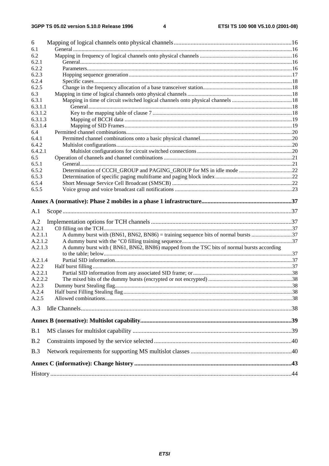| 6          |                                                                                           |  |
|------------|-------------------------------------------------------------------------------------------|--|
| 6.1<br>6.2 |                                                                                           |  |
| 6.2.1      |                                                                                           |  |
| 6.2.2      |                                                                                           |  |
| 6.2.3      |                                                                                           |  |
| 6.2.4      |                                                                                           |  |
| 6.2.5      |                                                                                           |  |
| 6.3        |                                                                                           |  |
| 6.3.1      |                                                                                           |  |
| 6.3.1.1    |                                                                                           |  |
| 6.3.1.2    |                                                                                           |  |
| 6.3.1.3    |                                                                                           |  |
| 6.3.1.4    |                                                                                           |  |
| 6.4        |                                                                                           |  |
| 6.4.1      |                                                                                           |  |
| 6.4.2      |                                                                                           |  |
| 6.4.2.1    |                                                                                           |  |
| 6.5        |                                                                                           |  |
| 6.5.1      |                                                                                           |  |
| 6.5.2      |                                                                                           |  |
| 6.5.3      |                                                                                           |  |
| 6.5.4      |                                                                                           |  |
| 6.5.5      |                                                                                           |  |
| A.1        |                                                                                           |  |
| A.2        |                                                                                           |  |
| A.2.1      |                                                                                           |  |
| A.2.1.1    |                                                                                           |  |
| A.2.1.2    |                                                                                           |  |
| A.2.1.3    | A dummy burst with (BN61, BN62, BN86) mapped from the TSC bits of normal bursts according |  |
| A.2.1.4    |                                                                                           |  |
| A.2.2      |                                                                                           |  |
| A.2.2.1    |                                                                                           |  |
| A.2.2.2    |                                                                                           |  |
| A.2.3      |                                                                                           |  |
| A.2.4      |                                                                                           |  |
| A.2.5      |                                                                                           |  |
| A.3        |                                                                                           |  |
|            |                                                                                           |  |
|            |                                                                                           |  |
| B.1        |                                                                                           |  |
|            |                                                                                           |  |
| B.2        |                                                                                           |  |
| B.3        |                                                                                           |  |
|            |                                                                                           |  |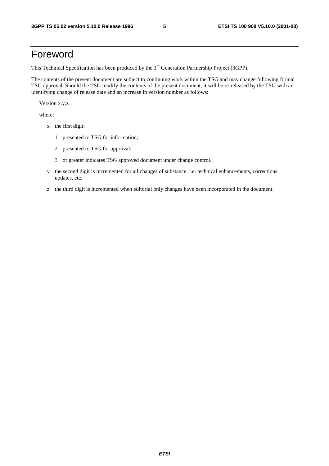### Foreword

This Technical Specification has been produced by the 3<sup>rd</sup> Generation Partnership Project (3GPP).

The contents of the present document are subject to continuing work within the TSG and may change following formal TSG approval. Should the TSG modify the contents of the present document, it will be re-released by the TSG with an identifying change of release date and an increase in version number as follows:

Version x.y.z

where:

- x the first digit:
	- 1 presented to TSG for information;
	- 2 presented to TSG for approval;
	- 3 or greater indicates TSG approved document under change control.
- y the second digit is incremented for all changes of substance, i.e. technical enhancements, corrections, updates, etc.
- z the third digit is incremented when editorial only changes have been incorporated in the document.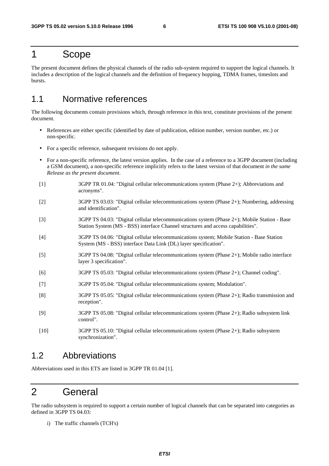### 1 Scope

The present document defines the physical channels of the radio sub-system required to support the logical channels. It includes a description of the logical channels and the definition of frequency hopping, TDMA frames, timeslots and bursts.

### 1.1 Normative references

The following documents contain provisions which, through reference in this text, constitute provisions of the present document.

- References are either specific (identified by date of publication, edition number, version number, etc.) or non-specific.
- For a specific reference, subsequent revisions do not apply.
- For a non-specific reference, the latest version applies. In the case of a reference to a 3GPP document (including a GSM document), a non-specific reference implicitly refers to the latest version of that document *in the same Release as the present document*.
- [1] 3GPP TR 01.04: "Digital cellular telecommunications system (Phase 2+); Abbreviations and acronyms".
- [2] 3GPP TS 03.03: "Digital cellular telecommunications system (Phase 2+); Numbering, addressing and identification".
- [3] 3GPP TS 04.03: "Digital cellular telecommunications system (Phase 2+); Mobile Station Base Station System (MS - BSS) interface Channel structures and access capabilities".
- [4] 3GPP TS 04.06: "Digital cellular telecommunications system; Mobile Station Base Station System (MS - BSS) interface Data Link (DL) layer specification".
- [5] 3GPP TS 04.08: "Digital cellular telecommunications system (Phase 2+); Mobile radio interface layer 3 specification".
- [6] 3GPP TS 05.03: "Digital cellular telecommunications system (Phase 2+); Channel coding".
- [7] 3GPP TS 05.04: "Digital cellular telecommunications system; Modulation".
- [8] 3GPP TS 05.05: "Digital cellular telecommunications system (Phase 2+); Radio transmission and reception".
- [9] 3GPP TS 05.08: "Digital cellular telecommunications system (Phase 2+); Radio subsystem link control".
- [10] 3GPP TS 05.10: "Digital cellular telecommunications system (Phase 2+); Radio subsystem synchronization".

#### 1.2 Abbreviations

Abbreviations used in this ETS are listed in 3GPP TR 01.04 [1].

### 2 General

The radio subsystem is required to support a certain number of logical channels that can be separated into categories as defined in 3GPP TS 04.03:

i) The traffic channels (TCH's)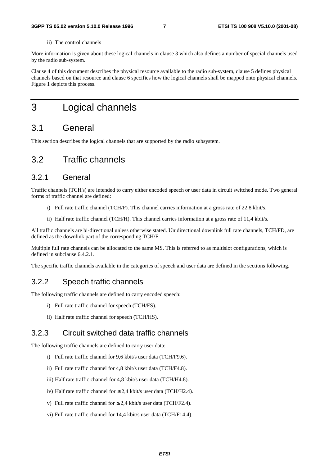#### ii) The control channels

More information is given about these logical channels in clause 3 which also defines a number of special channels used by the radio sub-system.

Clause 4 of this document describes the physical resource available to the radio sub-system, clause 5 defines physical channels based on that resource and clause 6 specifies how the logical channels shall be mapped onto physical channels. Figure 1 depicts this process.

### 3 Logical channels

### 3.1 General

This section describes the logical channels that are supported by the radio subsystem.

### 3.2 Traffic channels

#### 3.2.1 General

Traffic channels (TCH's) are intended to carry either encoded speech or user data in circuit switched mode. Two general forms of traffic channel are defined:

- i) Full rate traffic channel (TCH/F). This channel carries information at a gross rate of 22,8 kbit/s.
- ii) Half rate traffic channel (TCH/H). This channel carries information at a gross rate of 11,4 kbit/s.

All traffic channels are bi-directional unless otherwise stated. Unidirectional downlink full rate channels, TCH/FD, are defined as the downlink part of the corresponding TCH/F.

Multiple full rate channels can be allocated to the same MS. This is referred to as multislot configurations, which is defined in subclause 6.4.2.1.

The specific traffic channels available in the categories of speech and user data are defined in the sections following.

#### 3.2.2 Speech traffic channels

The following traffic channels are defined to carry encoded speech:

- i) Full rate traffic channel for speech (TCH/FS).
- ii) Half rate traffic channel for speech (TCH/HS).

#### 3.2.3 Circuit switched data traffic channels

The following traffic channels are defined to carry user data:

- i) Full rate traffic channel for 9,6 kbit/s user data (TCH/F9.6).
- ii) Full rate traffic channel for 4,8 kbit/s user data (TCH/F4.8).
- iii) Half rate traffic channel for 4,8 kbit/s user data (TCH/H4.8).
- iv) Half rate traffic channel for ≤ 2,4 kbit/s user data (TCH/H2.4).
- v) Full rate traffic channel for  $\leq 2.4$  kbit/s user data (TCH/F2.4).
- vi) Full rate traffic channel for 14,4 kbit/s user data (TCH/F14.4).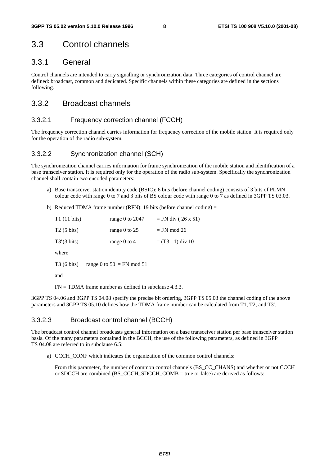### 3.3 Control channels

#### 3.3.1 General

Control channels are intended to carry signalling or synchronization data. Three categories of control channel are defined: broadcast, common and dedicated. Specific channels within these categories are defined in the sections following.

#### 3.3.2 Broadcast channels

#### 3.3.2.1 Frequency correction channel (FCCH)

The frequency correction channel carries information for frequency correction of the mobile station. It is required only for the operation of the radio sub-system.

#### 3.3.2.2 Synchronization channel (SCH)

The synchronization channel carries information for frame synchronization of the mobile station and identification of a base transceiver station. It is required only for the operation of the radio sub-system. Specifically the synchronization channel shall contain two encoded parameters:

- a) Base transceiver station identity code (BSIC): 6 bits (before channel coding) consists of 3 bits of PLMN colour code with range 0 to 7 and 3 bits of BS colour code with range 0 to 7 as defined in 3GPP TS 03.03.
- b) Reduced TDMA frame number (RFN): 19 bits (before channel coding) =

| $T1(11 \text{ bits})$ | range 0 to $2047$           | $=$ FN div (26 x 51)            |
|-----------------------|-----------------------------|---------------------------------|
| $T2(5 \text{ bits})$  | range 0 to $25$             | $=$ FN mod 26                   |
| $T3'(3 \text{ bits})$ | range $0$ to $4$            | $=$ (T <sub>3</sub> - 1) div 10 |
| where                 |                             |                                 |
| $T3(6 \text{ bits})$  | range 0 to $50 = FN$ mod 51 |                                 |
| and                   |                             |                                 |
|                       |                             |                                 |

FN = TDMA frame number as defined in subclause 4.3.3.

3GPP TS 04.06 and 3GPP TS 04.08 specify the precise bit ordering, 3GPP TS 05.03 the channel coding of the above parameters and 3GPP TS 05.10 defines how the TDMA frame number can be calculated from T1, T2, and T3'.

#### 3.3.2.3 Broadcast control channel (BCCH)

The broadcast control channel broadcasts general information on a base transceiver station per base transceiver station basis. Of the many parameters contained in the BCCH, the use of the following parameters, as defined in 3GPP TS 04.08 are referred to in subclause 6.5:

a) CCCH CONF which indicates the organization of the common control channels:

From this parameter, the number of common control channels (BS\_CC\_CHANS) and whether or not CCCH or SDCCH are combined (BS\_CCCH\_SDCCH\_COMB = true or false) are derived as follows: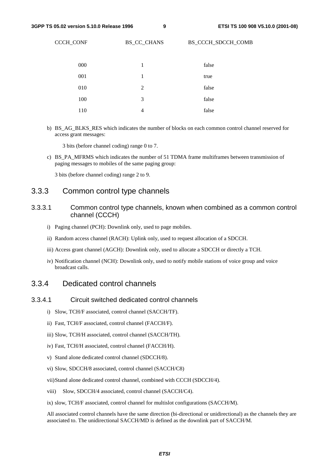CCCH\_CONF BS\_CC\_CHANS BS\_CCCH\_SDCCH\_COMB

| 000 | 1 | false |
|-----|---|-------|
| 001 | 1 | true  |
| 010 | 2 | false |
| 100 | 3 | false |
| 110 | 4 | false |

b) BS\_AG\_BLKS\_RES which indicates the number of blocks on each common control channel reserved for access grant messages:

3 bits (before channel coding) range 0 to 7.

c) BS\_PA\_MFRMS which indicates the number of 51 TDMA frame multiframes between transmission of paging messages to mobiles of the same paging group:

3 bits (before channel coding) range 2 to 9.

#### 3.3.3 Common control type channels

- 3.3.3.1 Common control type channels, known when combined as a common control channel (CCCH)
	- i) Paging channel (PCH): Downlink only, used to page mobiles.
	- ii) Random access channel (RACH): Uplink only, used to request allocation of a SDCCH.
	- iii) Access grant channel (AGCH): Downlink only, used to allocate a SDCCH or directly a TCH.
	- iv) Notification channel (NCH): Downlink only, used to notify mobile stations of voice group and voice broadcast calls.

#### 3.3.4 Dedicated control channels

#### 3.3.4.1 Circuit switched dedicated control channels

- i) Slow, TCH/F associated, control channel (SACCH/TF).
- ii) Fast, TCH/F associated, control channel (FACCH/F).
- iii) Slow, TCH/H associated, control channel (SACCH/TH).
- iv) Fast, TCH/H associated, control channel (FACCH/H).
- v) Stand alone dedicated control channel (SDCCH/8).
- vi) Slow, SDCCH/8 associated, control channel (SACCH/C8)
- vii) Stand alone dedicated control channel, combined with CCCH (SDCCH/4).
- viii) Slow, SDCCH/4 associated, control channel (SACCH/C4).
- ix) slow, TCH/F associated, control channel for multislot configurations (SACCH/M).

All associated control channels have the same direction (bi-directional or unidirectional) as the channels they are associated to. The unidirectional SACCH/MD is defined as the downlink part of SACCH/M.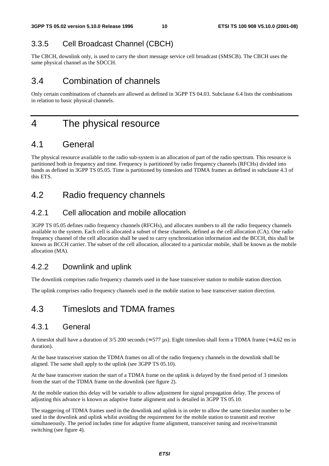### 3.3.5 Cell Broadcast Channel (CBCH)

The CBCH, downlink only, is used to carry the short message service cell broadcast (SMSCB). The CBCH uses the same physical channel as the SDCCH.

### 3.4 Combination of channels

Only certain combinations of channels are allowed as defined in 3GPP TS 04.03. Subclause 6.4 lists the combinations in relation to basic physical channels.

### 4 The physical resource

### 4.1 General

The physical resource available to the radio sub-system is an allocation of part of the radio spectrum. This resource is partitioned both in frequency and time. Frequency is partitioned by radio frequency channels (RFCHs) divided into bands as defined in 3GPP TS 05.05. Time is partitioned by timeslots and TDMA frames as defined in subclause 4.3 of this ETS.

### 4.2 Radio frequency channels

#### 4.2.1 Cell allocation and mobile allocation

3GPP TS 05.05 defines radio frequency channels (RFCHs), and allocates numbers to all the radio frequency channels available to the system. Each cell is allocated a subset of these channels, defined as the cell allocation (CA). One radio frequency channel of the cell allocation shall be used to carry synchronization information and the BCCH, this shall be known as BCCH carrier. The subset of the cell allocation, allocated to a particular mobile, shall be known as the mobile allocation (MA).

### 4.2.2 Downlink and uplink

The downlink comprises radio frequency channels used in the base transceiver station to mobile station direction.

The uplink comprises radio frequency channels used in the mobile station to base transceiver station direction.

### 4.3 Timeslots and TDMA frames

#### 4.3.1 General

A timeslot shall have a duration of 3/5 200 seconds ( $\approx$  577 µs). Eight timeslots shall form a TDMA frame ( $\approx$  4,62 ms in duration).

At the base transceiver station the TDMA frames on all of the radio frequency channels in the downlink shall be aligned. The same shall apply to the uplink (see 3GPP TS 05.10).

At the base transceiver station the start of a TDMA frame on the uplink is delayed by the fixed period of 3 timeslots from the start of the TDMA frame on the downlink (see figure 2).

At the mobile station this delay will be variable to allow adjustment for signal propagation delay. The process of adjusting this advance is known as adaptive frame alignment and is detailed in 3GPP TS 05.10.

The staggering of TDMA frames used in the downlink and uplink is in order to allow the same timeslot number to be used in the downlink and uplink whilst avoiding the requirement for the mobile station to transmit and receive simultaneously. The period includes time for adaptive frame alignment, transceiver tuning and receive/transmit switching (see figure 4).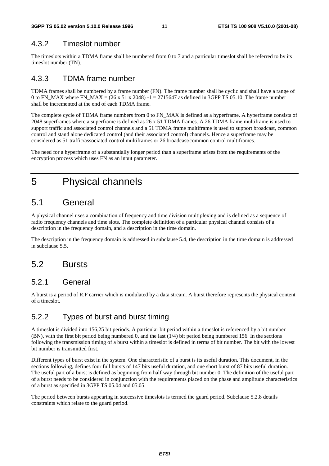### 4.3.2 Timeslot number

The timeslots within a TDMA frame shall be numbered from 0 to 7 and a particular timeslot shall be referred to by its timeslot number (TN).

#### 4.3.3 TDMA frame number

TDMA frames shall be numbered by a frame number (FN). The frame number shall be cyclic and shall have a range of 0 to FN\_MAX where FN\_MAX =  $(26 \times 51 \times 2048)$  -1 = 2715647 as defined in 3GPP TS 05.10. The frame number shall be incremented at the end of each TDMA frame.

The complete cycle of TDMA frame numbers from 0 to FN\_MAX is defined as a hyperframe. A hyperframe consists of 2048 superframes where a superframe is defined as 26 x 51 TDMA frames. A 26 TDMA frame multiframe is used to support traffic and associated control channels and a 51 TDMA frame multiframe is used to support broadcast, common control and stand alone dedicated control (and their associated control) channels. Hence a superframe may be considered as 51 traffic/associated control multiframes or 26 broadcast/common control multiframes.

The need for a hyperframe of a substantially longer period than a superframe arises from the requirements of the encryption process which uses FN as an input parameter.

### 5 Physical channels

### 5.1 General

A physical channel uses a combination of frequency and time division multiplexing and is defined as a sequence of radio frequency channels and time slots. The complete definition of a particular physical channel consists of a description in the frequency domain, and a description in the time domain.

The description in the frequency domain is addressed in subclause 5.4, the description in the time domain is addressed in subclause 5.5.

### 5.2 Bursts

#### 5.2.1 General

A burst is a period of R.F carrier which is modulated by a data stream. A burst therefore represents the physical content of a timeslot.

#### 5.2.2 Types of burst and burst timing

A timeslot is divided into 156,25 bit periods. A particular bit period within a timeslot is referenced by a bit number (BN), with the first bit period being numbered 0, and the last (1/4) bit period being numbered 156. In the sections following the transmission timing of a burst within a timeslot is defined in terms of bit number. The bit with the lowest bit number is transmitted first.

Different types of burst exist in the system. One characteristic of a burst is its useful duration. This document, in the sections following, defines four full bursts of 147 bits useful duration, and one short burst of 87 bits useful duration. The useful part of a burst is defined as beginning from half way through bit number 0. The definition of the useful part of a burst needs to be considered in conjunction with the requirements placed on the phase and amplitude characteristics of a burst as specified in 3GPP TS 05.04 and 05.05.

The period between bursts appearing in successive timeslots is termed the guard period. Subclause 5.2.8 details constraints which relate to the guard period.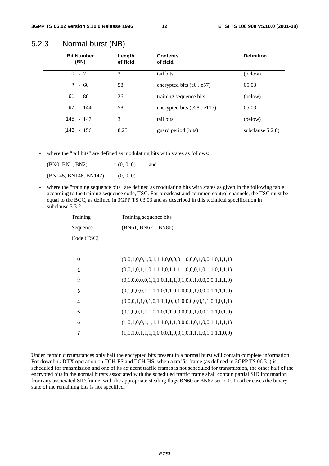| <b>Bit Number</b><br>(BN) | Length<br>of field | <b>Contents</b><br>of field     | <b>Definition</b>   |
|---------------------------|--------------------|---------------------------------|---------------------|
| $0 - 2$                   | 3                  | tail bits                       | (below)             |
| $3 - 60$                  | 58                 | encrypted bits $(e0 \cdot e57)$ | 05.03               |
| $61 - 86$                 | 26                 | training sequence bits          | (below)             |
| 87 - 144                  | 58                 | encrypted bits (e58. e115)      | 05.03               |
| 145 - 147                 | 3                  | tail bits                       | (below)             |
| $(148 - 156)$             | 8,25               | guard period (bits)             | subclause $5.2.8$ ) |

#### 5.2.3 Normal burst (NB)

where the "tail bits" are defined as modulating bits with states as follows:

| (BN0, BN1, BN2)       | $= (0, 0, 0)$ | and |
|-----------------------|---------------|-----|
| (BN145, BN146, BN147) | $= (0, 0, 0)$ |     |

where the "training sequence bits" are defined as modulating bits with states as given in the following table according to the training sequence code, TSC. For broadcast and common control channels, the TSC must be equal to the BCC, as defined in 3GPP TS 03.03 and as described in this technical specification in subclause 3.3.2.

| Training   | Training sequence bits |
|------------|------------------------|
| Sequence   | (BN61, BN62BN86)       |
| Code (TSC) |                        |

| 0 | $(0,0,1,0,0,1,0,1,1,1,0,0,0,0,1,0,0,0,1,0,0,1,0,1,1,1)$ |
|---|---------------------------------------------------------|
| 1 | $(0,0,1,0,1,1,0,1,1,1,0,1,1,1,1,0,0,0,1,0,1,1,0,1,1,1)$ |
| 2 | $(0,1,0,0,0,0,1,1,1,0,1,1,1,0,1,0,0,1,0,0,0,0,1,1,1,0)$ |
| 3 | $(0,1,0,0,0,1,1,1,1,0,1,1,0,1,0,0,0,1,0,0,0,1,1,1,1,0)$ |
| 4 | $(0,0,0,1,1,0,1,0,1,1,1,0,0,1,0,0,0,0,1,1,0,1,0,1,1)$   |
| 5 | $(0,1,0,0,1,1,1,0,1,0,1,1,0,0,0,0,0,1,0,0,1,1,1,0,1,0)$ |
| 6 |                                                         |
|   | $(1,1,1,0,1,1,1,1,0,0,0,1,0,0,1,0,1,1,1,0,1,1,1,1,0,0)$ |

Under certain circumstances only half the encrypted bits present in a normal burst will contain complete information. For downlink DTX operation on TCH-FS and TCH-HS, when a traffic frame (as defined in 3GPP TS 06.31) is scheduled for transmission and one of its adjacent traffic frames is not scheduled for transmission, the other half of the encrypted bits in the normal bursts associated with the scheduled traffic frame shall contain partial SID information from any associated SID frame, with the appropriate stealing flags BN60 or BN87 set to 0. In other cases the binary state of the remaining bits is not specified.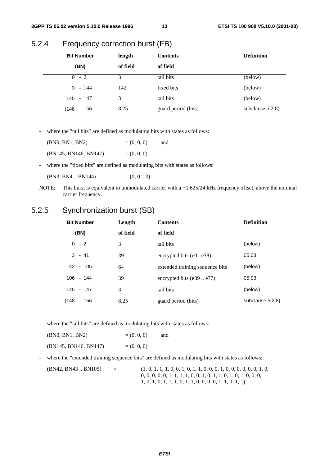#### 5.2.4 Frequency correction burst (FB)

| <b>Bit Number</b> | length   | <b>Contents</b>     | <b>Definition</b>   |
|-------------------|----------|---------------------|---------------------|
| (BN)              | of field | of field            |                     |
| $0 - 2$           | 3        | tail bits           | (below)             |
| $3 - 144$         | 142      | fixed bits          | (below)             |
| $145 - 147$       | 3        | tail bits           | (below)             |
| (148 - 156        | 8,25     | guard period (bits) | subclause $5.2.8$ ) |

- where the "tail bits" are defined as modulating bits with states as follows:

| (BN0, BN1, BN2)       | $= (0, 0, 0)$ | and |
|-----------------------|---------------|-----|
| (BN145, BN146, BN147) | $= (0, 0, 0)$ |     |

- where the "fixed bits" are defined as modulating bits with states as follows:

 $(BN3, BN4 \dots BN144)$  =  $(0, 0 \dots 0)$ 

NOTE: This burst is equivalent to unmodulated carrier with a +1 625/24 kHz frequency offset, above the nominal carrier frequency.

### 5.2.5 Synchronization burst (SB)

|       | <b>Bit Number</b> | Length   | <b>Contents</b>                 | <b>Definition</b> |
|-------|-------------------|----------|---------------------------------|-------------------|
|       | (BN)              | of field | of field                        |                   |
|       | $0 - 2$           | 3        | tail bits                       | (below)           |
|       | $3 - 41$          | 39       | encrypted bits $(e0. e38)$      | 05.03             |
|       | 42 - 105          | 64       | extended training sequence bits | (below)           |
|       | $106 - 144$       | 39       | encrypted bits $(e39e77)$       | 05.03             |
|       | 145 - 147         | 3        | tail bits                       | (below)           |
| (148) | $-156$            | 8,25     | guard period (bits)             | subclause 5.2.8)  |

- where the "tail bits" are defined as modulating bits with states as follows:

| (BN0, BN1, BN2)       | $= (0, 0, 0)$ | and |
|-----------------------|---------------|-----|
| (BN145, BN146, BN147) | $= (0, 0, 0)$ |     |

- where the "extended training sequence bits" are defined as modulating bits with states as follows:

| (BN42, BN43 BN105) | $=$ | $(1, 0, 1, 1, 1, 0, 0, 1, 0, 1, 1, 0, 0, 0, 1, 0, 0, 0, 0, 0, 0, 1, 0,$ |
|--------------------|-----|-------------------------------------------------------------------------|
|                    |     | $0, 0, 0, 0, 0, 1, 1, 1, 1, 0, 0, 1, 0, 1, 1, 0, 1, 0, 1, 0, 0, 0, 0,$  |
|                    |     | $1, 0, 1, 0, 1, 1, 1, 0, 1, 1, 0, 0, 0, 0, 1, 1, 0, 1, 1)$              |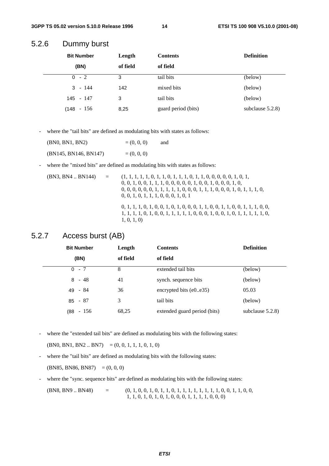#### 5.2.6 Dummy burst

| <b>Bit Number</b><br>Length |          | <b>Contents</b>     | <b>Definition</b>   |
|-----------------------------|----------|---------------------|---------------------|
| (BN)                        | of field | of field            |                     |
| $-2$<br>0                   | 3        | tail bits           | (below)             |
| $3 - 144$                   | 142      | mixed bits          | (below)             |
| 145 - 147                   | 3        | tail bits           | (below)             |
| $-156$<br>(148              | 8,25     | guard period (bits) | subclause $5.2.8$ ) |

- where the "tail bits" are defined as modulating bits with states as follows:

| (BN0, BN1, BN2)       | $= (0, 0, 0)$ | and |
|-----------------------|---------------|-----|
| (BN145, BN146, BN147) | $= (0, 0, 0)$ |     |

- where the "mixed bits" are defined as modulating bits with states as follows:

| (BN3, BN4 BN144) | $\equiv$ | $0, 0, 1, 0, 0, 1, 1, 1, 0, 0, 0, 0, 0, 1, 0, 0, 1, 0, 0, 0, 1, 0,$<br>$0, 0, 0, 0, 0, 0, 1, 1, 1, 1, 1, 0, 0, 0, 1, 1, 1, 0, 0, 0, 1, 0, 1, 1, 1, 0,$<br>0, 0, 1, 0, 1, 1, 1, 0, 0, 0, 1, 0, 1 |
|------------------|----------|-------------------------------------------------------------------------------------------------------------------------------------------------------------------------------------------------|
|                  |          | $0, 1, 1, 1, 0, 1, 0, 0, 1, 0, 1, 0, 0, 0, 1, 1, 0, 0, 1, 1, 0, 0, 1, 1, 1, 0, 0,$<br>$1, 1, 1, 1, 0, 1, 0, 0, 1, 1, 1, 1, 1, 0, 0, 0, 1, 0, 0, 1, 0, 1, 1, 1, 1, 1, 0,$<br>1, 0, 1, 0          |

#### 5.2.7 Access burst (AB)

| <b>Bit Number</b> | Length   | <b>Contents</b>              | <b>Definition</b>   |
|-------------------|----------|------------------------------|---------------------|
| (BN)              | of field | of field                     |                     |
| $0 - 7$           | 8        | extended tail bits           | (below)             |
| $8 - 48$          | 41       | synch. sequence bits         | (below)             |
| $49 - 84$         | 36       | encrypted bits $(e0e35)$     | 05.03               |
| $85 - 87$         | 3        | tail bits                    | (below)             |
| $(88 - 156)$      | 68,25    | extended guard period (bits) | subclause $5.2.8$ ) |

- where the "extended tail bits" are defined as modulating bits with the following states:

 $(BN0, BN1, BN2.. BN7) = (0, 0, 1, 1, 1, 0, 1, 0)$ 

- where the "tail bits" are defined as modulating bits with the following states:

 $(BN85, BN86, BN87) = (0, 0, 0)$ 

- where the "sync. sequence bits" are defined as modulating bits with the following states:

(BN8, BN9 .. BN48) = (0, 1, 0, 0, 1, 0, 1, 1, 0, 1, 1, 1, 1, 1, 1, 1, 1, 0, 0, 1, 1, 0, 0, 1, 1, 0, 1, 0, 1, 0, 1, 0, 0, 0, 1, 1, 1, 1, 0, 0, 0)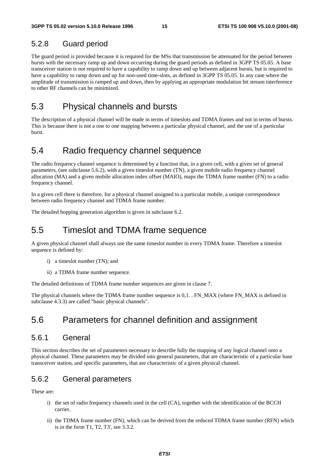#### 5.2.8 Guard period

The guard period is provided because it is required for the MSs that transmission be attenuated for the period between bursts with the necessary ramp up and down occurring during the guard periods as defined in 3GPP TS 05.05. A base transceiver station is not required to have a capability to ramp down and up between adjacent bursts, but is required to have a capability to ramp down and up for non-used time-slots, as defined in 3GPP TS 05.05. In any case where the amplitude of transmission is ramped up and down, then by applying an appropriate modulation bit stream interference to other RF channels can be minimized.

### 5.3 Physical channels and bursts

The description of a physical channel will be made in terms of timeslots and TDMA frames and not in terms of bursts. This is because there is not a one to one mapping between a particular physical channel, and the use of a particular burst.

### 5.4 Radio frequency channel sequence

The radio frequency channel sequence is determined by a function that, in a given cell, with a given set of general parameters, (see subclause 5.6.2), with a given timeslot number (TN), a given mobile radio frequency channel allocation (MA) and a given mobile allocation index offset (MAIO), maps the TDMA frame number (FN) to a radio frequency channel.

In a given cell there is therefore, for a physical channel assigned to a particular mobile, a unique correspondence between radio frequency channel and TDMA frame number.

The detailed hopping generation algorithm is given in subclause 6.2.

### 5.5 Timeslot and TDMA frame sequence

A given physical channel shall always use the same timeslot number in every TDMA frame. Therefore a timeslot sequence is defined by:

- i) a timeslot number (TN); and
- ii) a TDMA frame number sequence.

The detailed definitions of TDMA frame number sequences are given in clause 7.

The physical channels where the TDMA frame number sequence is 0,1. . FN\_MAX (where FN\_MAX is defined in subclause 4.3.3) are called "basic physical channels".

### 5.6 Parameters for channel definition and assignment

#### 5.6.1 General

This section describes the set of parameters necessary to describe fully the mapping of any logical channel onto a physical channel. These parameters may be divided into general parameters, that are characteristic of a particular base transceiver station, and specific parameters, that are characteristic of a given physical channel.

#### 5.6.2 General parameters

These are:

- i) the set of radio frequency channels used in the cell (CA), together with the identification of the BCCH carrier.
- ii) the TDMA frame number (FN), which can be derived from the reduced TDMA frame number (RFN) which is in the form T1, T2, T3', see 3.3.2.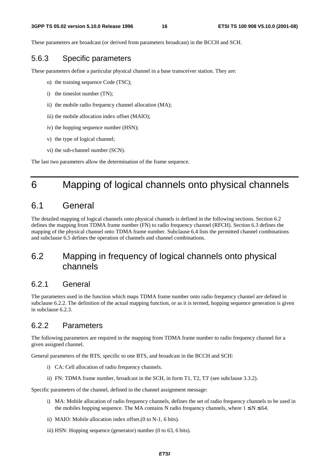These parameters are broadcast (or derived from parameters broadcast) in the BCCH and SCH.

#### 5.6.3 Specific parameters

These parameters define a particular physical channel in a base transceiver station. They are:

- o) the training sequence Code (TSC);
- i) the timeslot number (TN);
- ii) the mobile radio frequency channel allocation (MA);
- iii) the mobile allocation index offset (MAIO);
- iv) the hopping sequence number (HSN);
- v) the type of logical channel;
- vi) the sub-channel number (SCN).

The last two parameters allow the determination of the frame sequence.

## 6 Mapping of logical channels onto physical channels

### 6.1 General

The detailed mapping of logical channels onto physical channels is defined in the following sections. Section 6.2 defines the mapping from TDMA frame number (FN) to radio frequency channel (RFCH). Section 6.3 defines the mapping of the physical channel onto TDMA frame number. Subclause 6.4 lists the permitted channel combinations and subclause 6.5 defines the operation of channels and channel combinations.

### 6.2 Mapping in frequency of logical channels onto physical channels

### 6.2.1 General

The parameters used in the function which maps TDMA frame number onto radio frequency channel are defined in subclause 6.2.2. The definition of the actual mapping function, or as it is termed, hopping sequence generation is given in subclause 6.2.3.

#### 6.2.2 Parameters

The following parameters are required in the mapping from TDMA frame number to radio frequency channel for a given assigned channel.

General parameters of the BTS, specific to one BTS, and broadcast in the BCCH and SCH:

- i) CA: Cell allocation of radio frequency channels.
- ii) FN: TDMA frame number, broadcast in the SCH, in form T1, T2, T3' (see subclause 3.3.2).

Specific parameters of the channel, defined in the channel assignment message:

- i) MA: Mobile allocation of radio frequency channels, defines the set of radio frequency channels to be used in the mobiles hopping sequence. The MA contains N radio frequency channels, where  $1 \le N \le 64$ .
- ii) MAIO: Mobile allocation index offset.(0 to N-1, 6 bits).
- iii) HSN: Hopping sequence (generator) number (0 to 63, 6 bits).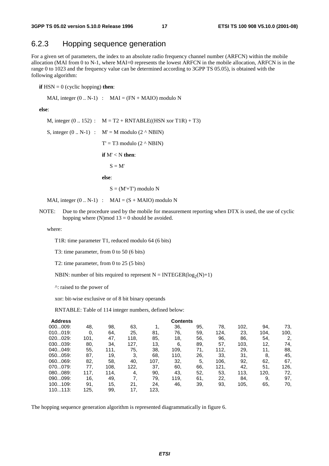#### 6.2.3 Hopping sequence generation

For a given set of parameters, the index to an absolute radio frequency channel number (ARFCN) within the mobile allocation (MAI from 0 to N-1, where MAI=0 represents the lowest ARFCN in the mobile allocation, ARFCN is in the range 0 to 1023 and the frequency value can be determined according to 3GPP TS 05.05), is obtained with the following algorithm:

**if**  $HSN = 0$  (cyclic hopping) **then**:

MAI, integer  $(0.. N-1)$  : MAI =  $(FN + MAIO)$  modulo N

**else**:

M, integer  $(0.. 152)$  :  $M = T2 + RNTABLE((HSN xor T1R) + T3)$ S, integer  $(0.. N-1)$  :  $M' = M$  modulo  $(2 \wedge NBIN)$  $T' = T3$  modulo  $(2 \land NBIN)$  **if** M' < N **then**:  $S = M'$  **else**:  $S = (M' + T')$  modulo N

MAI, integer  $(0.. N-1)$  : MAI =  $(S + MAIO)$  modulo N

NOTE: Due to the procedure used by the mobile for measurement reporting when DTX is used, the use of cyclic hopping where (N)mod  $13 = 0$  should be avoided.

where:

T1R: time parameter T1, reduced modulo 64 (6 bits)

T3: time parameter, from 0 to 50 (6 bits)

T2: time parameter, from 0 to 25 (5 bits)

NBIN: number of bits required to represent  $N = INTEGR(log_2(N)+1)$ 

^: raised to the power of

xor: bit-wise exclusive or of 8 bit binary operands

RNTABLE: Table of 114 integer numbers, defined below:

| <b>Address</b> |      | <b>Contents</b> |      |      |      |     |      |      |      |      |  |  |
|----------------|------|-----------------|------|------|------|-----|------|------|------|------|--|--|
| 000009:        | 48.  | 98.             | 63,  |      | 36,  | 95. | 78.  | 102, | 94.  | 73,  |  |  |
| 010019:        | 0.   | 64.             | 25,  | 81.  | 76,  | 59. | 124. | 23.  | 104. | 100, |  |  |
| 020029:        | 101, | 47.             | 118. | 85.  | 18,  | 56. | 96.  | 86.  | 54.  | 2,   |  |  |
| 030039:        | 80.  | 34.             | 127. | 13,  | 6,   | 89. | 57.  | 103, | 12,  | 74,  |  |  |
| 040049:        | 55,  | 111.            | 75.  | 38.  | 109, | 71, | 112. | 29.  | 11.  | 88,  |  |  |
| 050059:        | 87.  | 19,             | 3.   | 68,  | 110. | 26. | 33.  | 31.  | 8.   | 45,  |  |  |
| 060069:        | 82,  | 58.             | 40,  | 107, | 32,  | 5.  | 106, | 92,  | 62,  | 67,  |  |  |
| 070079:        | 77.  | 108,            | 122, | 37,  | 60.  | 66, | 121, | 42,  | 51.  | 126, |  |  |
| 080089:        | 117. | 114.            | 4,   | 90,  | 43.  | 52, | 53.  | 113, | 120. | 72,  |  |  |
| 090099:        | 16,  | 49.             | 7,   | 79.  | 119. | 61. | 22,  | 84.  | 9,   | 97,  |  |  |
| 100109:        | 91.  | 15.             | 21.  | 24.  | 46.  | 39. | 93,  | 105, | 65.  | 70,  |  |  |
| 110113:        | 125. | 99.             | 17.  | 123. |      |     |      |      |      |      |  |  |

The hopping sequence generation algorithm is represented diagrammatically in figure 6.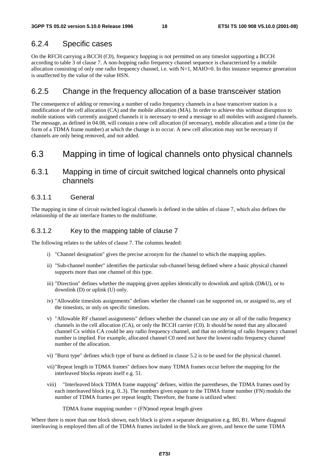#### 6.2.4 Specific cases

On the RFCH carrying a BCCH (C0), frequency hopping is not permitted on any timeslot supporting a BCCH according to table 3 of clause 7. A non-hopping radio frequency channel sequence is characterized by a mobile allocation consisting of only one radio frequency channel, i.e. with N=1, MAIO=0. In this instance sequence generation is unaffected by the value of the value HSN.

#### 6.2.5 Change in the frequency allocation of a base transceiver station

The consequence of adding or removing a number of radio frequency channels in a base transceiver station is a modification of the cell allocation (CA) and the mobile allocation (MA). In order to achieve this without disruption to mobile stations with currently assigned channels it is necessary to send a message to all mobiles with assigned channels. The message, as defined in 04.08, will contain a new cell allocation (if necessary), mobile allocation and a time (in the form of a TDMA frame number) at which the change is to occur. A new cell allocation may not be necessary if channels are only being removed, and not added.

### 6.3 Mapping in time of logical channels onto physical channels

#### 6.3.1 Mapping in time of circuit switched logical channels onto physical channels

#### 6.3.1.1 General

The mapping in time of circuit switched logical channels is defined in the tables of clause 7, which also defines the relationship of the air interface frames to the multiframe.

#### 6.3.1.2 Key to the mapping table of clause 7

The following relates to the tables of clause 7. The columns headed:

- i) "Channel designation" gives the precise acronym for the channel to which the mapping applies.
- ii) "Sub-channel number" identifies the particular sub-channel being defined where a basic physical channel supports more than one channel of this type.
- iii) "Direction" defines whether the mapping given applies identically to downlink and uplink (D&U), or to downlink (D) or uplink (U) only.
- iv) "Allowable timeslots assignments" defines whether the channel can be supported on, or assigned to, any of the timeslots, or only on specific timeslots.
- v) "Allowable RF channel assignments" defines whether the channel can use any or all of the radio frequency channels in the cell allocation (CA), or only the BCCH carrier (C0). It should be noted that any allocated channel Cx within CA could be any radio frequency channel, and that no ordering of radio frequency channel number is implied. For example, allocated channel C0 need not have the lowest radio frequency channel number of the allocation.
- vi) "Burst type" defines which type of burst as defined in clause 5.2 is to be used for the physical channel.
- vii) "Repeat length in TDMA frames" defines how many TDMA frames occur before the mapping for the interleaved blocks repeats itself e.g. 51.
- viii) "Interleaved block TDMA frame mapping" defines, within the parentheses, the TDMA frames used by each interleaved block (e.g. 0..3). The numbers given equate to the TDMA frame number (FN) modulo the number of TDMA frames per repeat length; Therefore, the frame is utilized when:

TDMA frame mapping number  $=$  (FN) mod repeat length given

Where there is more than one block shown, each block is given a separate designation e.g. B0, B1. Where diagonal interleaving is employed then all of the TDMA frames included in the block are given, and hence the same TDMA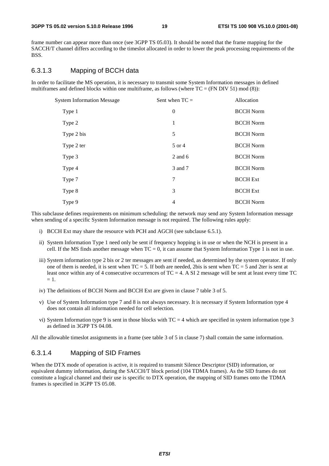frame number can appear more than once (see 3GPP TS 05.03). It should be noted that the frame mapping for the SACCH/T channel differs according to the timeslot allocated in order to lower the peak processing requirements of the BSS.

#### 6.3.1.3 Mapping of BCCH data

In order to facilitate the MS operation, it is necessary to transmit some System Information messages in defined multiframes and defined blocks within one multiframe, as follows (where  $TC = (FN DIV 51) mod (8)$ ):

| <b>System Information Message</b> | Sent when $TC =$ | Allocation       |  |  |
|-----------------------------------|------------------|------------------|--|--|
| Type 1                            | $\overline{0}$   | <b>BCCH</b> Norm |  |  |
| Type 2                            | 1                | <b>BCCH</b> Norm |  |  |
| Type 2 bis                        | 5                | <b>BCCH Norm</b> |  |  |
| Type 2 ter                        | 5 or 4           | <b>BCCH</b> Norm |  |  |
| Type 3                            | $2$ and 6        | <b>BCCH</b> Norm |  |  |
| Type 4                            | 3 and 7          | <b>BCCH</b> Norm |  |  |
| Type 7                            | 7                | <b>BCCH</b> Ext  |  |  |
| Type 8                            | 3                | <b>BCCH</b> Ext  |  |  |
| Type 9                            | 4                | <b>BCCH</b> Norm |  |  |

This subclause defines requirements on minimum scheduling: the network may send any System Information message when sending of a specific System Information message is not required. The following rules apply:

- i) BCCH Ext may share the resource with PCH and AGCH (see subclause 6.5.1).
- ii) System Information Type 1 need only be sent if frequency hopping is in use or when the NCH is present in a cell. If the MS finds another message when  $TC = 0$ , it can assume that System Information Type 1 is not in use.
- iii) System information type 2 bis or 2 ter messages are sent if needed, as determined by the system operator. If only one of them is needed, it is sent when  $TC = 5$ . If both are needed, 2bis is sent when  $TC = 5$  and 2ter is sent at least once within any of 4 consecutive occurrences of  $TC = 4$ . A SI 2 message will be sent at least every time TC  $= 1.$
- iv) The definitions of BCCH Norm and BCCH Ext are given in clause 7 table 3 of 5.
- v) Use of System Information type 7 and 8 is not always necessary. It is necessary if System Information type 4 does not contain all information needed for cell selection.
- vi) System Information type 9 is sent in those blocks with  $TC = 4$  which are specified in system information type 3 as defined in 3GPP TS 04.08.

All the allowable timeslot assignments in a frame (see table 3 of 5 in clause 7) shall contain the same information.

#### 6.3.1.4 Mapping of SID Frames

When the DTX mode of operation is active, it is required to transmit Silence Descriptor (SID) information, or equivalent dummy information, during the SACCH/T block period (104 TDMA frames). As the SID frames do not constitute a logical channel and their use is specific to DTX operation, the mapping of SID frames onto the TDMA frames is specified in 3GPP TS 05.08.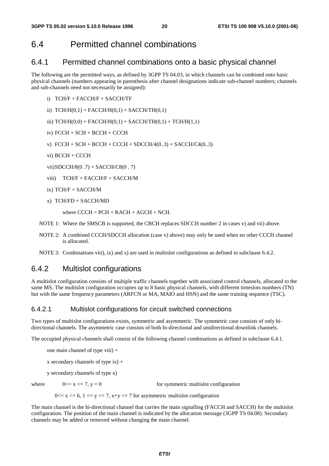### 6.4 Permitted channel combinations

#### 6.4.1 Permitted channel combinations onto a basic physical channel

The following are the permitted ways, as defined by 3GPP TS 04.03, in which channels can be combined onto basic physical channels (numbers appearing in parenthesis after channel designations indicate sub-channel numbers; channels and sub-channels need not necessarily be assigned):

- i) TCH/F + FACCH/F + SACCH/TF
- ii)  $TCH/H(0,1) + FACCH/H(0,1) + SACCH/TH(0,1)$
- iii)  $TCH/H(0,0) + FACT/H(0,1) + SACCH/TH(0,1) + TCH/H(1,1)$

iv) FCCH + SCH + BCCH + CCCH

- v)  $FCCH + SCH + BACH + CACH + SDCCH/4(0..3) + SACCH/C4(0..3)$
- vi) BCCH + CCCH

vii) SDCCH/8(0 .7) + SACCH/C8(0 . 7)

viii) TCH/F + FACCH/F + SACCH/M

ix) TCH/F + SACCH/M

x) TCH/FD + SACCH/MD

where  $C CCH = PCH + RACH + AGCH + NCH$ .

- NOTE 1: Where the SMSCB is supported, the CBCH replaces SDCCH number 2 in cases v) and vii) above.
- NOTE 2: A combined CCCH/SDCCH allocation (case v) above) may only be used when no other CCCH channel is allocated.
- NOTE 3: Combinations viii), ix) and x) are used in multislot configurations as defined in subclause 6.4.2.

#### 6.4.2 Multislot configurations

A multislot configuration consists of multiple traffic channels together with associated control channels, allocated to the same MS. The multislot configuration occupies up to 8 basic physical channels, with different timeslots numbers (TN) but with the same frequency parameters (ARFCN or MA, MAIO and HSN) and the same training sequence (TSC).

#### 6.4.2.1 Multislot configurations for circuit switched connections

Two types of multislot configurations exists, symmetric and asymmetric. The symmetric case consists of only bidirectional channels. The asymmetric case consists of both bi-directional and unidirectional downlink channels.

The occupied physical channels shall consist of the following channel combinations as defined in subclause 6.4.1.

one main channel of type viii) +

x secondary channels of type  $ix$ ) +

y secondary channels of type x)

where  $0 \le x \le 7$ ,  $y = 0$  for symmetric multislot configuration

 $0 \le x \le 6$ ,  $1 \le y \le 7$ ,  $x+y \le 7$  for asymmetric multislot configuration

The main channel is the bi-directional channel that carries the main signalling (FACCH and SACCH) for the multislot configuration. The position of the main channel is indicated by the allocation message (3GPP TS 04.08). Secondary channels may be added or removed without changing the main channel.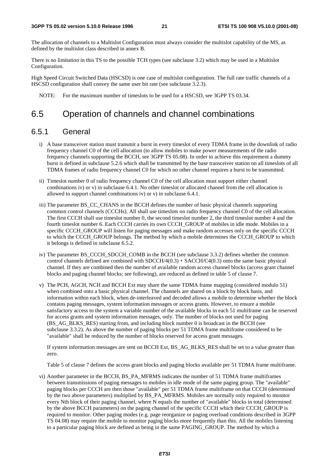The allocation of channels to a Multislot Configuration must always consider the multislot capability of the MS, as defined by the multislot class described in annex B.

There is no limitation in this TS to the possible TCH types (see subclause 3.2) which may be used in a Multislot Configuration.

High Speed Circuit Switched Data (HSCSD) is one case of multislot configuration. The full rate traffic channels of a HSCSD configuration shall convey the same user bit rate (see subclause 3.2.3).

NOTE: For the maximum number of timeslots to be used for a HSCSD, see 3GPP TS 03.34.

### 6.5 Operation of channels and channel combinations

#### 6.5.1 General

- i) A base transceiver station must transmit a burst in every timeslot of every TDMA frame in the downlink of radio frequency channel C0 of the cell allocation (to allow mobiles to make power measurements of the radio frequency channels supporting the BCCH, see 3GPP TS 05.08). In order to achieve this requirement a dummy burst is defined in subclause 5.2.6 which shall be transmitted by the base transceiver station on all timeslots of all TDMA frames of radio frequency channel C0 for which no other channel requires a burst to be transmitted.
- ii) Timeslot number 0 of radio frequency channel C0 of the cell allocation must support either channel combinations iv) or v) in subclause 6.4.1. No other timeslot or allocated channel from the cell allocation is allowed to support channel combinations iv) or v) in subclause 6.4.1.
- iii) The parameter BS\_CC\_CHANS in the BCCH defines the number of basic physical channels supporting common control channels (CCCHs). All shall use timeslots on radio frequency channel C0 of the cell allocation. The first CCCH shall use timeslot number 0, the second timeslot number 2, the third timeslot number 4 and the fourth timeslot number 6. Each CCCH carries its own CCCH\_GROUP of mobiles in idle mode. Mobiles in a specific CCCH\_GROUP will listen for paging messages and make random accesses only on the specific CCCH to which the CCCH\_GROUP belongs. The method by which a mobile determines the CCCH\_GROUP to which it belongs is defined in subclause 6.5.2.
- iv) The parameter BS\_CCCH\_SDCCH\_COMB in the BCCH (see subclause 3.3.2) defines whether the common control channels defined are combined with  $SDCH/4(0.3) + SACCH/C4(0.3)$  onto the same basic physical channel. If they are combined then the number of available random access channel blocks (access grant channel blocks and paging channel blocks; see following), are reduced as defined in table 5 of clause 7.
- v) The PCH, AGCH, NCH and BCCH Ext may share the same TDMA frame mapping (considered modulo 51) when combined onto a basic physical channel. The channels are shared on a block by block basis, and information within each block, when de-interleaved and decoded allows a mobile to determine whether the block contains paging messages, system information messages or access grants. However, to ensure a mobile satisfactory access to the system a variable number of the available blocks in each 51 multiframe can be reserved for access grants and system information messages, only. The number of blocks not used for paging (BS\_AG\_BLKS\_RES) starting from, and including block number 0 is broadcast in the BCCH (see subclause 3.3.2). As above the number of paging blocks per 51 TDMA frame multiframe considered to be "available" shall be reduced by the number of blocks reserved for access grant messages.

 If system information messages are sent on BCCH Ext, BS\_AG\_BLKS\_RES shall be set to a value greater than zero.

Table 5 of clause 7 defines the access grant blocks and paging blocks available per 51 TDMA frame multiframe.

vi) Another parameter in the BCCH, BS\_PA\_MFRMS indicates the number of 51 TDMA frame multiframes between transmissions of paging messages to mobiles in idle mode of the same paging group. The "available" paging blocks per CCCH are then those "available" per 51 TDMA frame multiframe on that CCCH (determined by the two above parameters) multiplied by BS\_PA\_MFRMS. Mobiles are normally only required to monitor every Nth block of their paging channel, where N equals the number of "available" blocks in total (determined by the above BCCH parameters) on the paging channel of the specific CCCH which their CCCH\_GROUP is required to monitor. Other paging modes (e.g. page reorganize or paging overload conditions described in 3GPP TS 04.08) may require the mobile to monitor paging blocks more frequently than this. All the mobiles listening to a particular paging block are defined as being in the same PAGING\_GROUP. The method by which a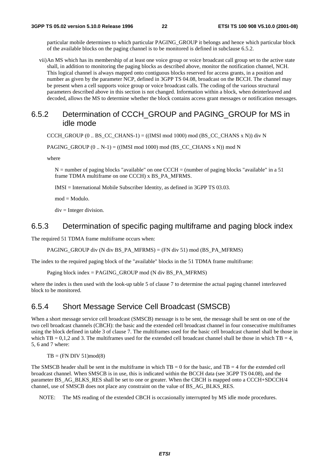particular mobile determines to which particular PAGING\_GROUP it belongs and hence which particular block of the available blocks on the paging channel is to be monitored is defined in subclause 6.5.2.

vii) An MS which has its membership of at least one voice group or voice broadcast call group set to the active state shall, in addition to monitoring the paging blocks as described above, monitor the notification channel, NCH. This logical channel is always mapped onto contiguous blocks reserved for access grants, in a position and number as given by the parameter NCP, defined in 3GPP TS 04.08, broadcast on the BCCH. The channel may be present when a cell supports voice group or voice broadcast calls. The coding of the various structural parameters described above in this section is not changed. Information within a block, when deinterleaved and decoded, allows the MS to determine whether the block contains access grant messages or notification messages.

#### 6.5.2 Determination of CCCH\_GROUP and PAGING\_GROUP for MS in idle mode

CCCH\_GROUP  $(0.. BS\_CC\_CHANS-1) = ((IMSI mod 1000) mod (BS\_CC\_CHANS x N))$  div N

PAGING\_GROUP  $(0.. N-1)$  = ((IMSI mod 1000) mod (BS\_CC\_CHANS x N)) mod N

where

 $N =$  number of paging blocks "available" on one CCCH = (number of paging blocks "available" in a 51 frame TDMA multiframe on one CCCH) x BS\_PA\_MFRMS.

IMSI = International Mobile Subscriber Identity, as defined in 3GPP TS 03.03.

 $mod = Modulo$ .

 $div = Integer$  division.

#### 6.5.3 Determination of specific paging multiframe and paging block index

The required 51 TDMA frame multiframe occurs when:

PAGING\_GROUP div (N div BS\_PA\_MFRMS) = (FN div 51) mod (BS\_PA\_MFRMS)

The index to the required paging block of the "available" blocks in the 51 TDMA frame multiframe:

Paging block index = PAGING\_GROUP mod (N div BS\_PA\_MFRMS)

where the index is then used with the look-up table 5 of clause 7 to determine the actual paging channel interleaved block to be monitored.

#### 6.5.4 Short Message Service Cell Broadcast (SMSCB)

When a short message service cell broadcast (SMSCB) message is to be sent, the message shall be sent on one of the two cell broadcast channels (CBCH): the basic and the extended cell broadcast channel in four consecutive multiframes using the block defined in table 3 of clause 7. The multiframes used for the basic cell broadcast channel shall be those in which TB = 0,1,2 and 3. The multiframes used for the extended cell broadcast channel shall be those in which  $TB = 4$ , 5, 6 and 7 where:

 $TB = (FN DIV 51)mod(8)$ 

The SMSCB header shall be sent in the multiframe in which  $TB = 0$  for the basic, and  $TB = 4$  for the extended cell broadcast channel. When SMSCB is in use, this is indicated within the BCCH data (see 3GPP TS 04.08), and the parameter BS\_AG\_BLKS\_RES shall be set to one or greater. When the CBCH is mapped onto a CCCH+SDCCH/4 channel, use of SMSCB does not place any constraint on the value of BS\_AG\_BLKS\_RES.

NOTE: The MS reading of the extended CBCH is occasionally interrupted by MS idle mode procedures.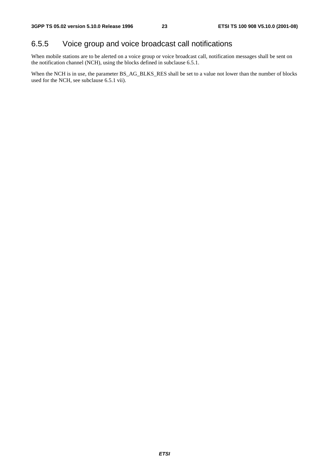### 6.5.5 Voice group and voice broadcast call notifications

When mobile stations are to be alerted on a voice group or voice broadcast call, notification messages shall be sent on the notification channel (NCH), using the blocks defined in subclause 6.5.1.

When the NCH is in use, the parameter  $BS\_AG\_BLKS\_RES$  shall be set to a value not lower than the number of blocks used for the NCH, see subclause 6.5.1 vii).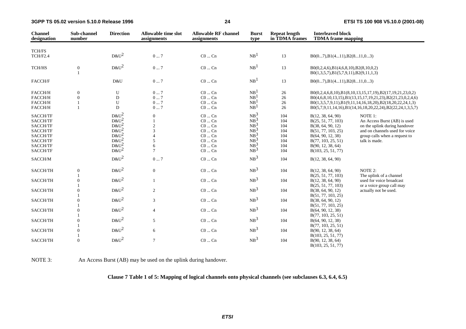**3GPP TS 05.02 version 5.10.0 Release 1996**

| <b>Channel</b><br>designation                                                                | Sub-channel<br>number        | <b>Direction</b>                                                                        | <b>Allowable time slot</b><br>assignments                   | <b>Allowable RF channel</b><br>assignments                                                                                       | <b>Burst</b><br>type                                                                                                 | <b>Repeat length</b><br>in TDMA frames               | <b>Interleaved block</b><br><b>TDMA</b> frame mapping                                                                                                                    |                                                                                                                                                                                                                                                        |
|----------------------------------------------------------------------------------------------|------------------------------|-----------------------------------------------------------------------------------------|-------------------------------------------------------------|----------------------------------------------------------------------------------------------------------------------------------|----------------------------------------------------------------------------------------------------------------------|------------------------------------------------------|--------------------------------------------------------------------------------------------------------------------------------------------------------------------------|--------------------------------------------------------------------------------------------------------------------------------------------------------------------------------------------------------------------------------------------------------|
| <b>TCH/FS</b>                                                                                |                              |                                                                                         |                                                             |                                                                                                                                  |                                                                                                                      |                                                      |                                                                                                                                                                          |                                                                                                                                                                                                                                                        |
| TCH/F2.4                                                                                     |                              | $D&U^2$                                                                                 | 07                                                          | $CO \dots Cn$                                                                                                                    | NB <sup>1</sup>                                                                                                      | 13                                                   | $B0(07), B1(411), B2(811,03)$                                                                                                                                            |                                                                                                                                                                                                                                                        |
| TCH/HS                                                                                       | $\boldsymbol{0}$             | $D&U^2$                                                                                 | 07                                                          | $CO \dots Cn$                                                                                                                    | NB <sup>1</sup>                                                                                                      | 13                                                   | B0(0,2,4,6),B1(4,6,8,10),B2(8,10,0,2)<br>$B0(1,3,5,7), B1(5,7,9,11), B2(9,11,1,3)$                                                                                       |                                                                                                                                                                                                                                                        |
| FACCH/F                                                                                      |                              | D&U                                                                                     | 07                                                          | $CO \dots Cn$                                                                                                                    | NB <sup>1</sup>                                                                                                      | 13                                                   | $B0(07), B1(411), B2(811,03)$                                                                                                                                            |                                                                                                                                                                                                                                                        |
| FACCH/H<br>FACCH/H<br>FACCH/H<br>FACCH/H                                                     | $\mathbf{0}$<br>$\mathbf{0}$ | U<br>D<br>${\bf U}$<br>D                                                                | 07<br>07<br>07<br>07                                        | $CO \dots Cn$<br>$CO \dots Cn$<br>$C0$ $Cn$<br>$C0 \dots Cn$                                                                     | NB <sup>1</sup><br>NB <sup>1</sup><br>NB <sup>1</sup><br>NB <sup>1</sup>                                             | 26<br>26<br>26<br>26                                 |                                                                                                                                                                          | B0(0,2,4,6,8,10),B1(8,10,13,15,17,19),B2(17,19,21,23,0,2)<br>B0(4,6,8,10,13,15),B1(13,15,17,19,21,23),B2(21,23,0,2,4,6)<br>$B0(1,3,5,7,9,11), B1(9,11,14,16,18,20), B2(18,20,22,24,1,3)$<br>B0(5,7,9,11,14,16),B1(14,16,18,20,22,24),B2(22,24,1,3,5,7) |
| SACCH/TF<br>SACCH/TF<br>SACCH/TF<br>SACCH/TF<br>SACCH/TF<br>SACCH/TF<br>SACCH/TF<br>SACCH/TF |                              | $D&U^2$<br>$D&U^2$<br>$D\&U^2$<br>$D\&U^2$<br>$D\&U^2$<br>$D&U^2$<br>$D&U^2$<br>$D&U^2$ | $\Omega$<br>$\overline{c}$<br>3<br>5<br>6<br>$\overline{7}$ | $CO \dots Cn$<br>$CO \dots Cn$<br>$C0 \dots Cn$<br>$CO \dots Cn$<br>$CO \dots Cn$<br>$CO \dots Cn$<br>$CO \dots Cn$<br>$C0$ $Cn$ | NB <sup>3</sup><br>$NB^3$<br>$NB^3$<br>NB <sub>2</sub> <sup>3</sup><br>$NB^3$<br>$NB^3$<br>$NB^3$<br>NB <sup>3</sup> | 104<br>104<br>104<br>104<br>104<br>104<br>104<br>104 | B(12, 38, 64, 90)<br>B(25, 51, 77, 103)<br>B(38, 64, 90, 12)<br>B(51, 77, 103, 25)<br>B(64, 90, 12, 38)<br>B(77, 103, 25, 51)<br>B(90, 12, 38, 64)<br>B(103, 25, 51, 77) | NOTE 1:<br>An Access Burst (AB) is used<br>on the uplink during handover<br>and on channels used for voice<br>group calls when a request to<br>talk is made.                                                                                           |
| SACCH/M                                                                                      |                              | $D&U^2$                                                                                 | $0 \dots 7$                                                 | $CO \dots Cn$                                                                                                                    | NB <sup>3</sup>                                                                                                      | 104                                                  | B(12, 38, 64, 90)                                                                                                                                                        |                                                                                                                                                                                                                                                        |
| SACCH/TH                                                                                     | $\boldsymbol{0}$             | $D&U^2$                                                                                 | $\mathbf{0}$                                                | $CO \dots Cn$                                                                                                                    | NB <sup>3</sup>                                                                                                      | 104                                                  | B(12, 38, 64, 90)<br>B(25, 51, 77, 103)                                                                                                                                  | NOTE 2:<br>The uplink of a channel                                                                                                                                                                                                                     |
| SACCH/TH<br>SACCH/TH                                                                         | $\theta$<br>$\mathbf{0}$     | $D&U^2$<br>$D&U^2$                                                                      | $\mathbf{1}$<br>2                                           | $CO \dots Cn$<br>$CO \dots Cn$                                                                                                   | NB <sup>3</sup><br>NB <sup>3</sup>                                                                                   | 104<br>104                                           | B(12, 38, 64, 90)<br>B(25, 51, 77, 103)<br>B(38, 64, 90, 12)                                                                                                             | used for voice broadcast<br>or a voice group call may<br>actually not be used.                                                                                                                                                                         |
| SACCH/TH                                                                                     | $\theta$                     | $D&U^2$                                                                                 | 3                                                           | $C0 \dots Cn$                                                                                                                    | NB <sup>3</sup>                                                                                                      | 104                                                  | B(51, 77, 103, 25)<br>B(38, 64, 90, 12)<br>B(51, 77, 103, 25)                                                                                                            |                                                                                                                                                                                                                                                        |
| SACCH/TH                                                                                     | $\boldsymbol{0}$             | $D&U^2$                                                                                 | $\overline{4}$                                              | $CO \dots Cn$                                                                                                                    | NB <sup>3</sup>                                                                                                      | 104                                                  | B(64, 90, 12, 38)<br>B(77, 103, 25, 51)                                                                                                                                  |                                                                                                                                                                                                                                                        |
| SACCH/TH                                                                                     | $\Omega$                     | $D&U^2$                                                                                 | 5                                                           | $CO \dots Cn$                                                                                                                    | NB <sup>3</sup>                                                                                                      | 104                                                  | B(64, 90, 12, 38)<br>B(77, 103, 25, 51)                                                                                                                                  |                                                                                                                                                                                                                                                        |
| SACCH/TH                                                                                     | $\theta$                     | $D&U^2$                                                                                 | 6                                                           | $C0$ $Cn$                                                                                                                        | NB <sup>3</sup>                                                                                                      | 104                                                  | B(90, 12, 38, 64)                                                                                                                                                        |                                                                                                                                                                                                                                                        |
| SACCH/TH                                                                                     | $\mathbf{0}$                 | $D&U^2$                                                                                 | $7\phantom{.0}$                                             | $CO \dots Cn$                                                                                                                    | NB <sup>3</sup>                                                                                                      | 104                                                  | B(103, 25, 51, 77)<br>B(90, 12, 38, 64)<br>B(103, 25, 51, 77)                                                                                                            |                                                                                                                                                                                                                                                        |

NOTE 3: An Access Burst (AB) may be used on the uplink during handover.

**Clause 7 Table 1 of 5: Mapping of logical channels onto physical channels (see subclauses 6.3, 6.4, 6.5)**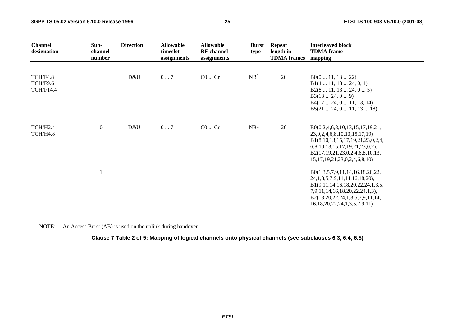| <b>Channel</b><br>designation                   | Sub-<br>channel<br>number | <b>Direction</b> | <b>Allowable</b><br>timeslot<br>assignments | <b>Allowable</b><br><b>RF</b> channel<br>assignments | <b>Burst</b><br>type | <b>Repeat</b><br>length in<br><b>TDMA</b> frames | <b>Interleaved block</b><br><b>TDMA</b> frame<br>mapping                                                                                                                                                                     |
|-------------------------------------------------|---------------------------|------------------|---------------------------------------------|------------------------------------------------------|----------------------|--------------------------------------------------|------------------------------------------------------------------------------------------------------------------------------------------------------------------------------------------------------------------------------|
| <b>TCH/F4.8</b><br>TCH/F9.6<br><b>TCH/F14.4</b> |                           | D&U              | $0 \dots 7$                                 | $C0$ $Cn$                                            | NB <sup>1</sup>      | 26                                               | B0(011, 1322)<br>B1(4 11, 13 24, 0, 1)<br>B2(8 11, 13 24, 0 5)<br>B3(1324, 09)<br>B4(17 24, 0 11, 13, 14)<br>B5(21 24, 0 11, 13 18)                                                                                          |
| TCH/H2.4<br>TCH/H4.8                            | $\boldsymbol{0}$          | D&U              | 07                                          | $C0$ $Cn$                                            | NB <sup>1</sup>      | 26                                               | B0(0,2,4,6,8,10,13,15,17,19,21,<br>23, 0, 2, 4, 6, 8, 10, 13, 15, 17, 19)<br>B1(8,10,13,15,17,19,21,23,0,2,4,<br>6,8,10,13,15,17,19,21,23,0,2),<br>B2(17,19,21,23,0,2,4,6,8,10,13,<br>15, 17, 19, 21, 23, 0, 2, 4, 6, 8, 10) |
|                                                 |                           |                  |                                             |                                                      |                      |                                                  | B0(1,3,5,7,9,11,14,16,18,20,22,<br>24, 1, 3, 5, 7, 9, 11, 14, 16, 18, 20),<br>B1(9,11,14,16,18,20,22,24,1,3,5,<br>7,9,11,14,16,18,20,22,24,1,3),<br>B2(18,20,22,24,1,3,5,7,9,11,14,<br>16, 18, 20, 22, 24, 1, 3, 5, 7, 9, 11 |

NOTE: An Access Burst (AB) is used on the uplink during handover.

**Clause 7 Table 2 of 5: Mapping of logical channels onto physical channels (see subclauses 6.3, 6.4, 6.5)**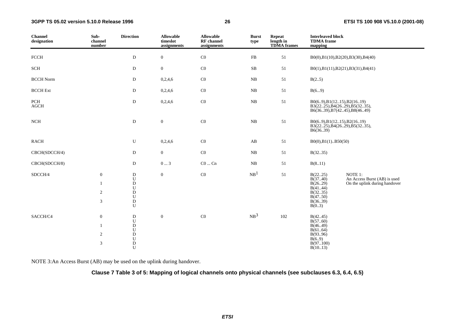#### **3GPP TS 05.02 version 5.10.0 Release 1996**

| <b>Channel</b><br>designation | Sub-<br>channel<br>number                           | <b>Direction</b>                                                                             | <b>Allowable</b><br>timeslot<br>assignments | <b>Allowable</b><br><b>RF</b> channel<br>assignments | <b>Burst</b><br>type   | <b>Repeat</b><br>length in<br><b>TDMA</b> frames | <b>Interleaved block</b><br><b>TDMA</b> frame<br>mapping                                    |                                                                          |
|-------------------------------|-----------------------------------------------------|----------------------------------------------------------------------------------------------|---------------------------------------------|------------------------------------------------------|------------------------|--------------------------------------------------|---------------------------------------------------------------------------------------------|--------------------------------------------------------------------------|
| <b>FCCH</b>                   |                                                     | D                                                                                            | $\boldsymbol{0}$                            | $\rm CO$                                             | ${\rm FB}$             | 51                                               |                                                                                             | B0(0),B1(10),B2(20),B3(30),B4(40)                                        |
| SCH                           |                                                     | D                                                                                            | $\boldsymbol{0}$                            | $\rm CO$                                             | SB                     | 51                                               |                                                                                             | B0(1),B1(11),B2(21),B3(31),B4(41)                                        |
| <b>BCCH Norm</b>              |                                                     | D                                                                                            | 0,2,4,6                                     | $\rm CO$                                             | ${\bf NB}$             | 51                                               | B(25)                                                                                       |                                                                          |
| <b>BCCH</b> Ext               |                                                     | D                                                                                            | 0,2,4,6                                     | $\rm CO$                                             | NB                     | 51                                               | B(69)                                                                                       |                                                                          |
| PCH<br>$\rm{AGCH}$            |                                                     | ${\bf D}$                                                                                    | 0,2,4,6                                     | $\rm CO$                                             | $_{\rm NB}$            | 51                                               | B0(69), B1(1215), B2(1619)<br>B3(2225), B4(2629), B5(3235),<br>B6(3639), B7(4245), B8(4649) |                                                                          |
| $_{\rm NCH}$                  |                                                     | ${\rm D}$                                                                                    | $\boldsymbol{0}$                            | $\rm CO$                                             | $_{\rm NB}$            | $51\,$                                           | B0(69), B1(1215), B2(1619)<br>B3(2225), B4(2629), B5(3235),<br>B6(36.39)                    |                                                                          |
| RACH                          |                                                     | U                                                                                            | 0,2,4,6                                     | $\rm CO$                                             | $\mathbf{A}\mathbf{B}$ | 51                                               | B0(0),B1(1)B50(50)                                                                          |                                                                          |
| CBCH(SDCCH/4)                 |                                                     | D                                                                                            | $\overline{0}$                              | $\rm CO$                                             | $_{\rm NB}$            | 51                                               | B(3235)                                                                                     |                                                                          |
| CBCH(SDCCH/8)                 |                                                     | D                                                                                            | $0 \ldots 3$                                | $\rm CO$ $\ldots$ $\rm Cn$                           | $_{\rm NB}$            | 51                                               | B(811)                                                                                      |                                                                          |
| SDCCH/4                       | $\boldsymbol{0}$<br>1<br>$\overline{c}$<br>3        | $\mathbf D$<br>${\bf U}$<br>$\mathbf D$<br>U<br>$\mathbf D$<br>$\mathbf U$<br>${\rm D}$<br>U | $\mathbf{0}$                                | $\rm CO$                                             | NB <sup>1</sup>        | $51\,$                                           | B(2225)<br>B(3740)<br>B(26.29)<br>B(4144)<br>B(3235)<br>B(4750)<br>B(3639)<br>B(0.3)        | NOTE 1:<br>An Access Burst (AB) is used<br>On the uplink during handover |
| SACCH/C4                      | $\mathbf{0}$<br>$\mathbf{1}$<br>$\overline{c}$<br>3 | $\mathbf D$<br>U<br>${\bf D}$<br>${\bf U}$<br>$\mathbf D$<br>${\bf U}$<br>$\mathbf D$<br>U   | $\mathbf{0}$                                | C <sub>0</sub>                                       | NB <sup>3</sup>        | 102                                              | B(4245)<br>B(5760)<br>B(46.49)<br>B(6164)<br>B(9396)<br>B(6.9)<br>B(97100)<br>B(1013)       |                                                                          |

NOTE 3:An Access Burst (AB) may be used on the uplink during handover.

#### **Clause 7 Table 3 of 5: Mapping of logical channels onto physical channels (see subclauses 6.3, 6.4, 6.5)**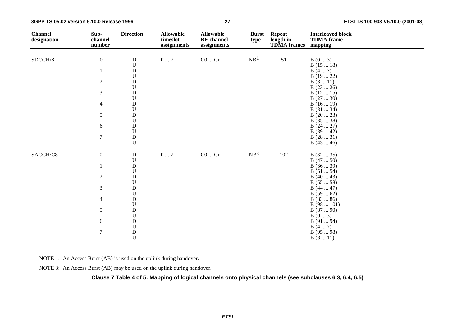**3GPP TS 05.02 version 5.10.0 Release 1996**

| <b>Channel</b><br>designation | Sub-<br>channel<br>number | <b>Direction</b>                                                                    | <b>Allowable</b><br>timeslot<br>assignments | <b>Allowable</b><br><b>RF</b> channel<br>assignments | <b>Burst</b><br>type | <b>Repeat</b><br>length in<br><b>TDMA</b> frames | <b>Interleaved block</b><br><b>TDMA</b> frame<br>mapping |
|-------------------------------|---------------------------|-------------------------------------------------------------------------------------|---------------------------------------------|------------------------------------------------------|----------------------|--------------------------------------------------|----------------------------------------------------------|
| SDCCH/8                       | $\boldsymbol{0}$          | D                                                                                   | $0\ldots7$                                  | $C0 \dots Cn$                                        | NB <sup>1</sup>      | 51                                               | B(03)                                                    |
|                               |                           | $\overline{U}$                                                                      |                                             |                                                      |                      |                                                  | B(1518)                                                  |
|                               |                           | ${\rm D}$                                                                           |                                             |                                                      |                      |                                                  | B(47)                                                    |
|                               |                           | $\boldsymbol{\mathsf{U}}$                                                           |                                             |                                                      |                      |                                                  | B(1922)                                                  |
|                               | $\sqrt{2}$                | ${\bf D}$                                                                           |                                             |                                                      |                      |                                                  | B(811)                                                   |
|                               |                           | $\boldsymbol{\mathsf{U}}$                                                           |                                             |                                                      |                      |                                                  | B(2326)                                                  |
|                               | $\mathfrak{Z}$            | $\rm \frac{D}{U}$                                                                   |                                             |                                                      |                      |                                                  | B(1215)                                                  |
|                               |                           |                                                                                     |                                             |                                                      |                      |                                                  | B(2730)                                                  |
|                               | $\overline{4}$            | ${\bf D}$                                                                           |                                             |                                                      |                      |                                                  | B(1619)                                                  |
|                               |                           | $\mathbf U$                                                                         |                                             |                                                      |                      |                                                  | B(3134)                                                  |
|                               | $\sqrt{5}$                | ${\bf D}$<br>$\mathbf U$                                                            |                                             |                                                      |                      |                                                  | B(2023)<br>B(3538)                                       |
|                               | $\sqrt{6}$                |                                                                                     |                                             |                                                      |                      |                                                  | B(2427)                                                  |
|                               |                           | $\rm \frac{D}{U}$                                                                   |                                             |                                                      |                      |                                                  | B(3942)                                                  |
|                               | $\boldsymbol{7}$          | $\mathbf D$                                                                         |                                             |                                                      |                      |                                                  | B(2831)                                                  |
|                               |                           | $\mathbf U$                                                                         |                                             |                                                      |                      |                                                  | B(4346)                                                  |
| SACCH/C8                      | $\boldsymbol{0}$          | ${\bf D}$                                                                           | $0\ldots7$                                  | $\rm CO$ $\rm Cn$                                    | NB <sup>3</sup>      | 102                                              | B(3235)                                                  |
|                               |                           | $\boldsymbol{\mathsf{U}}$                                                           |                                             |                                                      |                      |                                                  | B(4750)                                                  |
|                               |                           | $\mathbf D$                                                                         |                                             |                                                      |                      |                                                  | B(3639)                                                  |
|                               |                           | $\mathbf U$                                                                         |                                             |                                                      |                      |                                                  | B(5154)                                                  |
|                               | $\sqrt{2}$                | ${\bf D}$                                                                           |                                             |                                                      |                      |                                                  | B(4043)                                                  |
|                               |                           | $_{\rm D}^{\rm U}$                                                                  |                                             |                                                      |                      |                                                  | B(5558)                                                  |
|                               | $\mathfrak{Z}$            |                                                                                     |                                             |                                                      |                      |                                                  | B(4447)                                                  |
|                               |                           | $\mathbf U$                                                                         |                                             |                                                      |                      |                                                  | B(5962)                                                  |
|                               | $\overline{4}$            | ${\rm D}$                                                                           |                                             |                                                      |                      |                                                  | B(8386)                                                  |
|                               |                           | $\mathbf U$                                                                         |                                             |                                                      |                      |                                                  | B(98101)                                                 |
|                               | $\sqrt{5}$                | ${\bf D}$                                                                           |                                             |                                                      |                      |                                                  | B(8790)                                                  |
|                               |                           | $\mathbf U$                                                                         |                                             |                                                      |                      |                                                  | B(03)                                                    |
|                               | $\sqrt{6}$                |                                                                                     |                                             |                                                      |                      |                                                  | B(9194)                                                  |
|                               | $\boldsymbol{7}$          |                                                                                     |                                             |                                                      |                      |                                                  | B(47)<br>B(9598)                                         |
|                               |                           | $\begin{array}{c} \mathbf{D} \\ \mathbf{U} \\ \mathbf{D} \\ \mathbf{U} \end{array}$ |                                             |                                                      |                      |                                                  | B(811)                                                   |

NOTE 1: An Access Burst (AB) is used on the uplink during handover.

NOTE 3: An Access Burst (AB) may be used on the uplink during handover.

**Clause 7 Table 4 of 5: Mapping of logical channels onto physical channels (see subclauses 6.3, 6.4, 6.5)**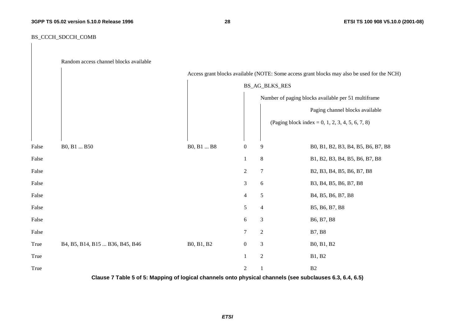**28 ETSI TS 100 908 V5.10.0 (2001-08)**

#### BS\_CCCH\_SDCCH\_COMB

|       | Random access channel blocks available |                |                  |                  |                                                                                             |  |  |  |  |
|-------|----------------------------------------|----------------|------------------|------------------|---------------------------------------------------------------------------------------------|--|--|--|--|
|       |                                        |                |                  |                  | Access grant blocks available (NOTE: Some access grant blocks may also be used for the NCH) |  |  |  |  |
|       |                                        | BS_AG_BLKS_RES |                  |                  |                                                                                             |  |  |  |  |
|       |                                        |                |                  |                  | Number of paging blocks available per 51 multiframe                                         |  |  |  |  |
|       |                                        |                |                  |                  | Paging channel blocks available                                                             |  |  |  |  |
|       |                                        |                |                  |                  | (Paging block index = 0, 1, 2, 3, 4, 5, 6, 7, 8)                                            |  |  |  |  |
| False | B0, B1  B50                            | B0, B1  B8     | $\boldsymbol{0}$ | 9                | B0, B1, B2, B3, B4, B5, B6, B7, B8                                                          |  |  |  |  |
| False |                                        |                | 1                | $\,8\,$          | B1, B2, B3, B4, B5, B6, B7, B8                                                              |  |  |  |  |
| False |                                        |                | $\boldsymbol{2}$ | $\boldsymbol{7}$ | B2, B3, B4, B5, B6, B7, B8                                                                  |  |  |  |  |
| False |                                        |                | $\mathfrak{Z}$   | 6                | B3, B4, B5, B6, B7, B8                                                                      |  |  |  |  |
| False |                                        |                | $\overline{4}$   | $\mathfrak{S}$   | B4, B5, B6, B7, B8                                                                          |  |  |  |  |
| False |                                        |                | 5                | $\overline{4}$   | B5, B6, B7, B8                                                                              |  |  |  |  |
| False |                                        |                | 6                | $\mathfrak{Z}$   | B6, B7, B8                                                                                  |  |  |  |  |
| False |                                        |                | $\tau$           | $\overline{2}$   | <b>B7, B8</b>                                                                               |  |  |  |  |
| True  | B4, B5, B14, B15  B36, B45, B46        | B0, B1, B2     | $\boldsymbol{0}$ | $\mathfrak{Z}$   | B0, B1, B2                                                                                  |  |  |  |  |
| True  |                                        |                | $\mathbf{1}$     | $\overline{2}$   | B1, B2                                                                                      |  |  |  |  |
| True  |                                        |                | $\overline{2}$   | 1                | B2                                                                                          |  |  |  |  |

**Clause 7 Table 5 of 5: Mapping of logical channels onto physical channels (see subclauses 6.3, 6.4, 6.5)**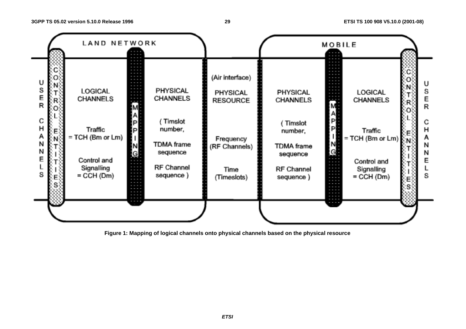#### **29 ETSI TS 100 908 V5.10.0 (2001-08)**



**Figure 1: Mapping of logical channels onto physical channels based on the physical resource** 

**ETSI**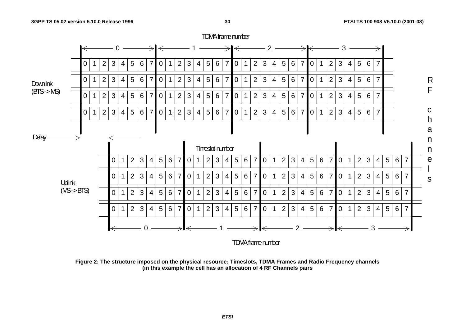

**Figure 2: The structure imposed on the physical resource: Timeslots, TDMA Frames and Radio Frequency channels (in this example the cell has an allocation of 4 RF Channels pairs** 

**ETSI**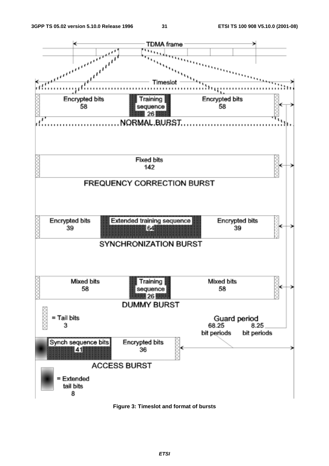

**Figure 3: Timeslot and format of bursts**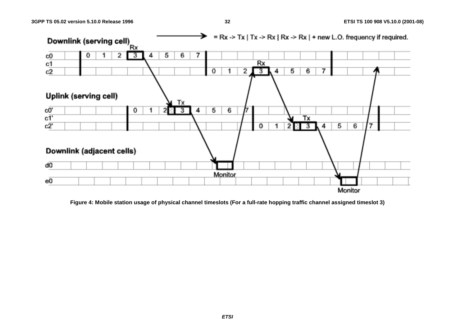

**Figure 4: Mobile station usage of physical channel timeslots (For a full-rate hopping traffic channel assigned timeslot 3)** 

**ETSI**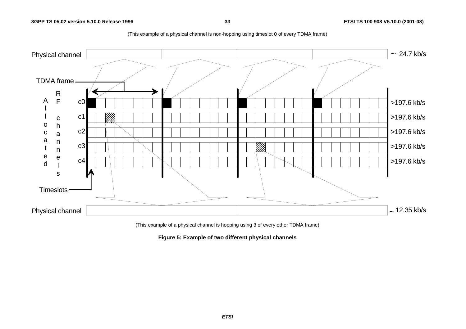**3GPP TS 05.02 version 5.10.0 Release 1996**



(This example of a physical channel is non-hopping using timeslot 0 of every TDMA frame)

(This example of a physical channel is hopping using 3 of every other TDMA frame)

**Figure 5: Example of two different physical channels**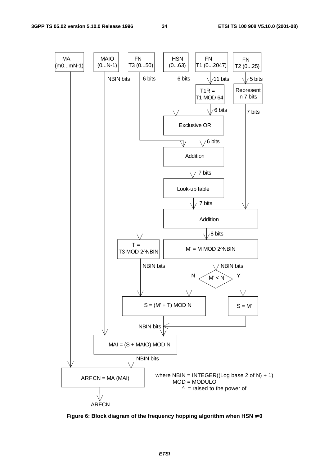

**Figure 6: Block diagram of the frequency hopping algorithm when HSN** ≠ **0**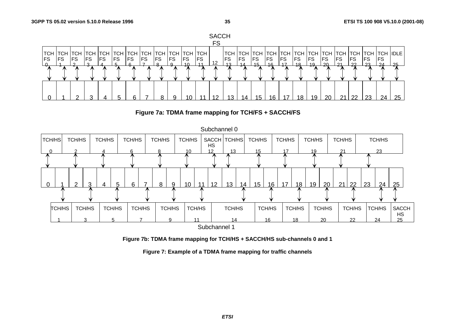





**Figure 7b: TDMA frame mapping for TCH/HS + SACCH/HS sub-channels 0 and 1** 

**Figure 7: Example of a TDMA frame mapping for traffic channels**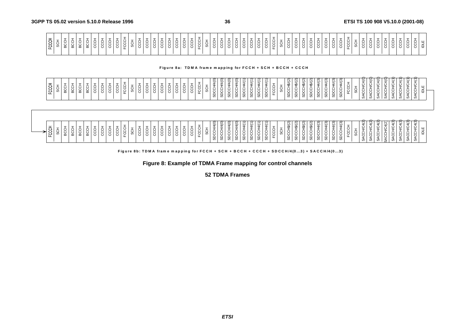| $\overline{\phantom{0}}$<br>—<br><b>-</b><br>ا ت<br>ີ<br>ပ<br>ட<br>୴<br><b>LL</b> | ≍ | ட | -<br>—<br>$\sim$<br>$\cdot$ $\cdot$ |                    |
|-----------------------------------------------------------------------------------|---|---|-------------------------------------|--------------------|
|                                                                                   |   |   |                                     | ÷.<br>$\cdot$<br>ட |
| $\pm$<br>$\overline{\phantom{a}}$<br>- 67)<br>ᅩ                                   |   |   |                                     |                    |

#### Figure 8a: TDMA frame mapping for FCCH + SCH + BCCH + CCCH

| FCCH     | Ō<br>Ū.     | 六<br>င္ထ | -<br>ㅎ<br>요 | BCCH                               | Ō.<br>ပ္တ | <b>CCC</b> | CCC  | 5<br>S | <b>CCL</b><br>Χ<br>Χ<br>노 | ÷<br>÷<br>š                         | CCC      | ġ   | ġ | ჭ<br>ვ | 5<br>S | U<br>Ō | CCC<br>÷<br>š         | ◡<br>g           | ÷<br>Ŝ                         | SDCCH/4(0)                           | ε<br>ġ.<br>ಜ                        | 4(0)<br>⇒<br>六<br>Χ<br>◡<br>ಜ | 1/4(0)<br>ġ<br>ಜ       | 4/(1)<br>ġ<br>ā       | 4/(1)<br>SDCCH | $\overline{\phantom{0}}$<br>₩.<br><b>SDCCH</b> | $\overline{ }$<br>ৼ<br>≛<br>✕<br>č<br>ᢦ      | ÷<br>ಜ | (5)<br>∯<br>ġ<br>မ္တ | SDCCH\$/(2) | 16/2<br>ġ<br>ದ       | 48/2<br>ಜ | 4(3)<br>-<br><b>SDCCH</b><br>ġ<br>င္တ                     | (3)<br>$\frac{4}{3}$<br>4<br>ġ<br>မ္ဟ | (3)<br>4<br><b>SDCCH</b>  | FCC                                       |   | 4(0)<br>5<br>ACCH             | ី<br>⊻<br>ပ<br>Ğ             | ័<br>\$<br>ġ<br>ィ<br>ω    | $\hat{\triangleleft}$<br>Š<br>ACCH<br>ωï | ₹<br>≥<br>÷<br>₹<br>Ø      | $\check{ }$<br>Z<br>≚<br>Õ<br>ġ<br>$\circ$              | ⊻<br>≛<br>ပ္ပ                            | ш<br>₫         |  |
|----------|-------------|----------|-------------|------------------------------------|-----------|------------|------|--------|---------------------------|-------------------------------------|----------|-----|---|--------|--------|--------|-----------------------|------------------|--------------------------------|--------------------------------------|-------------------------------------|-------------------------------|------------------------|-----------------------|----------------|------------------------------------------------|----------------------------------------------|--------|----------------------|-------------|----------------------|-----------|-----------------------------------------------------------|---------------------------------------|---------------------------|-------------------------------------------|---|-------------------------------|------------------------------|---------------------------|------------------------------------------|----------------------------|---------------------------------------------------------|------------------------------------------|----------------|--|
| 풍<br>င္မ | -<br>5<br>S | 5CC      | ÷<br>ecch   | $\overline{\phantom{a}}$<br>ㅎ<br>요 | Ō<br>ပ္တ  | –<br>ġ     | CCC+ | ġ      | ÷<br>CCH<br>x<br>노        | ğ<br>$\overline{\phantom{a}}$<br>ទី | –<br>CCC | CCC | ġ | CCH    | 5<br>S | ٮ      | ġ<br>÷<br>K<br>پ<br>C | ×<br>Χ<br>◡<br>ᄔ | $\overline{\phantom{a}}$<br>\$ | $\widetilde{4}$ (O)<br><b>SDCCH/</b> | $\widehat{\mathsf{S}}$<br>Ô.<br>မ္တ | 4(0)<br>⇒<br>ġ<br>မ္တ         | 1/4(0)<br><b>SDCCH</b> | 4/(1)<br><b>SDCCH</b> | 44(1)<br>SDCCH | $\overline{ }$<br>$4\sqrt{ }$<br>SDCCH         | $\overline{\phantom{0}}$<br>≍<br>š<br>노<br>ಜ | -<br>୪ | (5)<br>£<br>ġ<br>မ္တ | SDCCH\$/(2  | 18/2<br>ਨ੍<br>X<br>ಜ | 18/2<br>ಹ | (3)<br>$\frac{4}{3}$<br>₹<br><b>SDCCH</b><br><b>SDCCH</b> | $\sqrt{3}$<br>4<br><b>SDCCH</b>       | ্যু<br>4τ<br><b>SDCCH</b> | $\overline{\phantom{0}}$<br>÷<br>Ч<br>FCC | ø | 4(2)<br>g<br><b>ACCH</b><br>Ø | ₩<br>⊻<br>÷<br>ă<br>$\omega$ | ₩<br>Š<br>4CC<br>$\omega$ | 4(2)<br>Š<br>SACCH                       | ₩<br>⊻<br>÷<br>Χ<br>५<br>Ø | $\mathbf{+}$<br>5<br>⇒<br>ğ<br>5S<br>P<br>Ø<br>$\omega$ | $\overline{a}$<br>⊻<br>六<br>بر<br>پ<br>Ø | $\frac{11}{2}$ |  |

Figure 8b: TDMA frame mapping for FCCH + SCH + BCCH + CCCH + SDCCH/4(0...3) + SACCH/4(0...3)

**Figure 8: Example of TDMA Frame mapping for control channels** 

**52 TDMA Frames**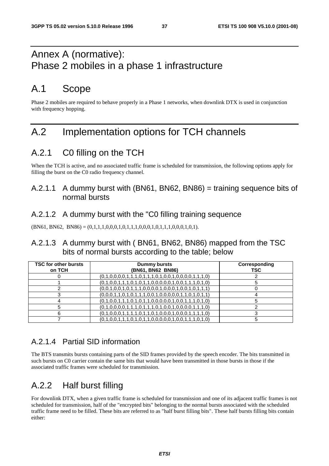### Annex A (normative): Phase 2 mobiles in a phase 1 infrastructure

### A.1 Scope

Phase 2 mobiles are required to behave properly in a Phase 1 networks, when downlink DTX is used in conjunction with frequency hopping.

### A.2 Implementation options for TCH channels

### A.2.1 C0 filling on the TCH

When the TCH is active, and no associated traffic frame is scheduled for transmission, the following options apply for filling the burst on the C0 radio frequency channel.

### A.2.1.1 A dummy burst with (BN61, BN62, BN86) = training sequence bits of normal bursts

#### A.2.1.2 A dummy burst with the "C0 filling training sequence

 $(BN61, BN62, BN86) = (0,1,1,1,0,0,0,1,0,1,1,1,0,0,0,1,0,1,1,1,0,0,0,1,0,1).$ 

#### A.2.1.3 A dummy burst with ( BN61, BN62, BN86) mapped from the TSC bits of normal bursts according to the table; below

| <b>TSC for other bursts</b><br>on TCH | Dummy bursts<br>(BN61, BN62 BN86)                       | Corresponding<br>TSC |
|---------------------------------------|---------------------------------------------------------|----------------------|
|                                       | $(0,1,0,0,0,0,1,1,1,0,1,1,1,0,1,0,0,1,0,0,0,0,1,1,1,0)$ |                      |
|                                       | $(0,1,0,0,1,1,1,0,1,0,1,1,0,0,0,0,0,1,0,0,1,1,1,0,1,0)$ |                      |
|                                       | $(0,0,1,0,0,1,0,1,1,1,0,0,0,0,1,0,0,0,1,0,0,1,0,1,1)$   |                      |
|                                       | $(0,0,0,1,1,0,1,0,1,1,1,0,0,1,0,0,0,0,1,1,0,1,0,1,1)$   |                      |
|                                       | $(0,1,0,0,1,1,1,0,1,0,1,1,0,0,0,0,0,1,0,0,1,1,1,0,1,0)$ |                      |
|                                       | $(0,1,0,0,0,0,1,1,1,0,1,1,1,0,1,0,0,1,0,0,0,0,1,1,1,0)$ |                      |
|                                       | $(0,1,0,0,0,1,1,1,1,0,1,1,0,1,0,0,0,1,0,0,0,1,1,1,1,0)$ |                      |
|                                       | $(0,1,0,0,1,1,1,0,1,0,1,1,0,0,0,0,0,1,0,0,1,1,1,0,1,0)$ |                      |

### A.2.1.4 Partial SID information

The BTS transmits bursts containing parts of the SID frames provided by the speech encoder. The bits transmitted in such bursts on C0 carrier contain the same bits that would have been transmitted in those bursts in those if the associated traffic frames were scheduled for transmission.

### A.2.2 Half burst filling

For downlink DTX, when a given traffic frame is scheduled for transmission and one of its adjacent traffic frames is not scheduled for transmission, half of the "encrypted bits" belonging to the normal bursts associated with the scheduled traffic frame need to be filled. These bits are referred to as "half burst filling bits". These half bursts filling bits contain either: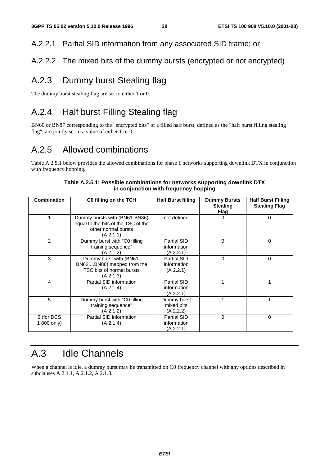### A.2.2.1 Partial SID information from any associated SID frame; or

### A.2.2.2 The mixed bits of the dummy bursts (encrypted or not encrypted)

### A.2.3 Dummy burst Stealing flag

The dummy burst stealing flag are set to either 1 or 0.

### A.2.4 Half burst Filling Stealing flag

BN60 or BN87 corresponding to the "encrypted bits" of a filled half burst, defined as the "half burst filling stealing flag", are jointly set to a value of either 1 or 0.

### A.2.5 Allowed combinations

Table A.2.5.1 below provides the allowed combinations for phase 1 networks supporting downlink DTX in conjunction with frequency hopping.

| <b>Combination</b>        | C0 filling on the TCH                                                                                    | <b>Half Burst filling</b>                      | <b>Dummy Bursts</b><br><b>Stealing</b><br>Flag | <b>Half Burst Filling</b><br><b>Stealing Flag</b> |
|---------------------------|----------------------------------------------------------------------------------------------------------|------------------------------------------------|------------------------------------------------|---------------------------------------------------|
|                           | Dummy bursts with (BN61-BN86)<br>equal to the bits of the TSC of the<br>other normal bursts<br>(A 2.1.1) | not defined                                    | 0                                              | 0                                                 |
| 2                         | Dummy burst with "C0 filling<br>training sequence"<br>(A 2.1.2)                                          | <b>Partial SID</b><br>information<br>(A 2.2.1) | $\Omega$                                       | 0                                                 |
| 3                         | Dummy burst with (BN61,<br>BN62BN86) mapped from the<br>TSC bits of normal bursts<br>(A 2.1.3)           | Partial SID<br>information<br>(A 2.2.1)        | $\Omega$                                       | 0                                                 |
| 4                         | Partial SID information<br>(A 2.1.4)                                                                     | Partial SID<br>information<br>(A 2.2.1)        |                                                |                                                   |
| 5                         | Dummy burst with "C0 filling"<br>training sequence"<br>(A 2.1.2)                                         | Dummy burst<br>mixed bits<br>(A 2.2.2)         |                                                |                                                   |
| 6 (for DCS<br>1 800 only) | Partial SID information<br>(A 2.1.4)                                                                     | Partial SID<br>information<br>(A 2.2.1)        | $\Omega$                                       | $\mathbf{0}$                                      |

#### **Table A.2.5.1: Possible combinations for networks supporting downlink DTX in conjunction with frequency hopping**

## A.3 Idle Channels

When a channel is idle, a dummy burst may be transmitted on C0 frequency channel with any options described in subclauses A 2.1.1, A 2.1.2, A 2.1.3.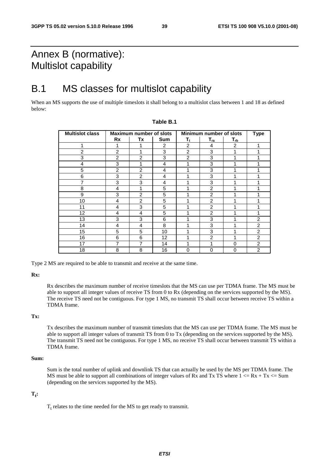### Annex B (normative): Multislot capability

### B.1 MS classes for multislot capability

When an MS supports the use of multiple timeslots it shall belong to a multislot class between 1 and 18 as defined below:

| <b>Multislot class</b> |                | Maximum number of slots |                |                         | Minimum number of slots | <b>Type</b>                |                |
|------------------------|----------------|-------------------------|----------------|-------------------------|-------------------------|----------------------------|----------------|
|                        | Rx             | Tx                      | <b>Sum</b>     | $\mathsf{T}_\mathsf{t}$ | $T_{ra}$                | $\mathsf{T}_{\mathsf{rb}}$ |                |
| 1                      |                | 1                       | $\overline{2}$ | $\overline{2}$          | 4                       | $\overline{c}$             | 1              |
| 2                      | $\overline{2}$ |                         | 3              | $\overline{2}$          | 3                       |                            |                |
| 3                      | $\overline{2}$ | 2                       | 3              | $\overline{2}$          | 3                       |                            |                |
| 4                      | 3              |                         | 4              | 1                       | 3                       |                            |                |
| 5                      | $\overline{2}$ | $\overline{2}$          | 4              | ◢                       | 3                       |                            |                |
| 6                      | 3              | $\mathfrak{p}$          | 4              |                         | 3                       |                            |                |
| 7                      | 3              | 3                       | 4              |                         | 3                       |                            |                |
| 8                      | 4              | 1                       | 5              |                         | $\overline{2}$          |                            |                |
| 9                      | 3              | $\overline{2}$          | 5              |                         | $\overline{2}$          |                            |                |
| 10                     | 4              | $\overline{c}$          | 5              |                         | $\overline{2}$          |                            |                |
| 11                     | 4              | 3                       | 5              | 4                       | $\overline{2}$          |                            |                |
| 12                     | 4              | 4                       | 5              |                         | $\overline{2}$          |                            |                |
| 13                     | 3              | 3                       | 6              |                         | 3                       |                            | 2              |
| 14                     | 4              | 4                       | 8              |                         | 3                       |                            | $\overline{2}$ |
| 15                     | 5              | 5                       | 10             |                         | 3                       |                            | $\overline{2}$ |
| 16                     | 6              | 6                       | 12             |                         | $\overline{2}$          |                            | $\overline{2}$ |
| 17                     | $\overline{7}$ | 7                       | 14             |                         | 1                       | $\Omega$                   | $\overline{2}$ |
| 18                     | 8              | 8                       | 16             | $\Omega$                | 0                       | $\Omega$                   | $\mathfrak{p}$ |

#### **Table B.1**

Type 2 MS are required to be able to transmit and receive at the same time.

**Rx:** 

 Rx describes the maximum number of receive timeslots that the MS can use per TDMA frame. The MS must be able to support all integer values of receive TS from 0 to Rx (depending on the services supported by the MS). The receive TS need not be contiguous. For type 1 MS, no transmit TS shall occur between receive TS within a TDMA frame.

#### **Tx:**

 Tx describes the maximum number of transmit timeslots that the MS can use per TDMA frame. The MS must be able to support all integer values of transmit TS from 0 to Tx (depending on the services supported by the MS). The transmit TS need not be contiguous. For type 1 MS, no receive TS shall occur between transmit TS within a TDMA frame.

#### **Sum:**

 Sum is the total number of uplink and downlink TS that can actually be used by the MS per TDMA frame. The MS must be able to support all combinations of integer values of Rx and Tx TS where  $1 \le Rx + Tx \le Sum$ (depending on the services supported by the MS).

#### $\mathbf{T}_{t}$ :

 $T_t$  relates to the time needed for the MS to get ready to transmit.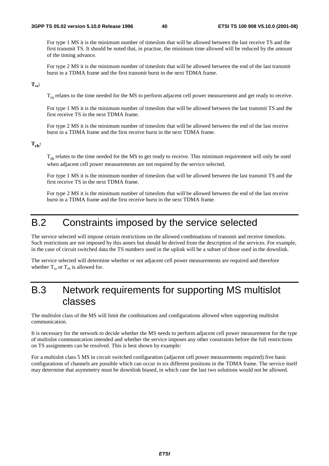For type 1 MS it is the minimum number of timeslots that will be allowed between the last receive TS and the first transmit TS. It should be noted that, in practise, the minimum time allowed will be reduced by the amount of the timing advance.

 For type 2 MS it is the minimum number of timeslots that will be allowed between the end of the last transmit burst in a TDMA frame and the first transmit burst in the next TDMA frame.

#### **Tra:**

Tra relates to the time needed for the MS to perform adjacent cell power measurement and get ready to receive.

 For type 1 MS it is the minimum number of timeslots that will be allowed between the last transmit TS and the first receive TS in the next TDMA frame.

 For type 2 MS it is the minimum number of timeslots that will be allowed between the end of the last receive burst in a TDMA frame and the first receive burst in the next TDMA frame.

#### $T_{\rm rh}$ :

T<sub>rb</sub> relates to the time needed for the MS to get ready to receive. This minimum requirement will only be used when adjacent cell power measurements are not required by the service selected.

 For type 1 MS it is the minimum number of timeslots that will be allowed between the last transmit TS and the first receive TS in the next TDMA frame.

 For type 2 MS it is the minimum number of timeslots that will be allowed between the end of the last receive burst in a TDMA frame and the first receive burst in the next TDMA frame.

### B.2 Constraints imposed by the service selected

The service selected will impose certain restrictions on the allowed combinations of transmit and receive timeslots. Such restrictions are not imposed by this annex but should be derived from the description of the services. For example, in the case of circuit switched data the TS numbers used in the uplink will be a subset of those used in the downlink.

The service selected will determine whether or not adjacent cell power measurements are required and therefore whether  $T_{ra}$  or  $T_{rb}$  is allowed for.

### B.3 Network requirements for supporting MS multislot classes

The multislot class of the MS will limit the combinations and configurations allowed when supporting multislot communication.

It is necessary for the network to decide whether the MS needs to perform adjacent cell power measurement for the type of multislot communication intended and whether the service imposes any other constraints before the full restrictions on TS assignments can be resolved. This is best shown by example:

For a multislot class 5 MS in circuit switched configuration (adjacent cell power measurements required) five basic configurations of channels are possible which can occur in six different positions in the TDMA frame. The service itself may determine that asymmetry must be downlink biased, in which case the last two solutions would not be allowed.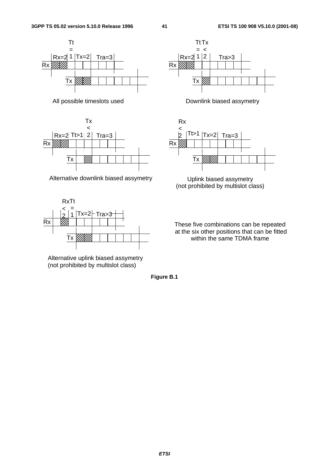



Alternative downlink biased assymetry **Uplink biased assymetry** 



Alternative uplink biased assymetry (not prohibited by multislot class)







(not prohibited by multislot class)

These five combinations can be repeated at the six other positions that can be fitted within the same TDMA frame

**Figure B.1**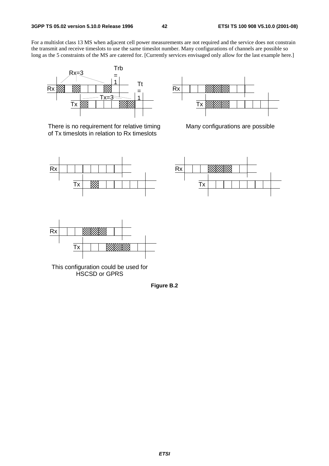For a multislot class 13 MS when adjacent cell power measurements are not required and the service does not constrain the transmit and receive timeslots to use the same timeslot number. Many configurations of channels are possible so long as the 5 constraints of the MS are catered for. [Currently services envisaged only allow for the last example here.]



There is no requirement for relative timing of Tx timeslots in relation to Rx timeslots



Many configurations are possible







This configuration could be used for HSCSD or GPRS

**Figure B.2**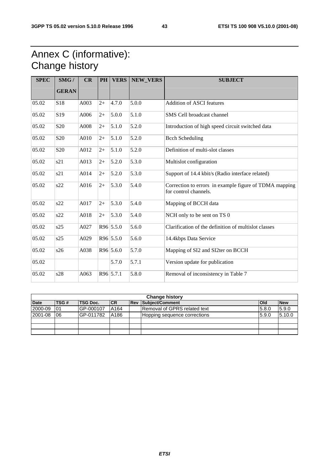### Annex C (informative): Change history

| <b>SPEC</b> | SMG/            | CR   | <b>PH</b> | <b>VERS</b> | <b>NEW VERS</b> | <b>SUBJECT</b>                                                                  |
|-------------|-----------------|------|-----------|-------------|-----------------|---------------------------------------------------------------------------------|
|             | <b>GERAN</b>    |      |           |             |                 |                                                                                 |
| 05.02       | S18             | A003 | $2+$      | 4.7.0       | 5.0.0           | <b>Addition of ASCI features</b>                                                |
| 05.02       | S19             | A006 | $2+$      | 5.0.0       | 5.1.0           | SMS Cell broadcast channel                                                      |
| 05.02       | S <sub>20</sub> | A008 | $2+$      | 5.1.0       | 5.2.0           | Introduction of high speed circuit switched data                                |
| 05.02       | S <sub>20</sub> | A010 | $2+$      | 5.1.0       | 5.2.0           | <b>Bcch Scheduling</b>                                                          |
| 05.02       | S <sub>20</sub> | A012 | $2+$      | 5.1.0       | 5.2.0           | Definition of multi-slot classes                                                |
| 05.02       | s21             | A013 | $2+$      | 5.2.0       | 5.3.0           | Multislot configuration                                                         |
| 05.02       | s21             | A014 | $2+$      | 5.2.0       | 5.3.0           | Support of 14.4 kbit/s (Radio interface related)                                |
| 05.02       | s22             | A016 | $2+$      | 5.3.0       | 5.4.0           | Correction to errors in example figure of TDMA mapping<br>for control channels. |
| 05.02       | s22             | A017 | $2+$      | 5.3.0       | 5.4.0           | Mapping of BCCH data                                                            |
| 05.02       | s22             | A018 | $2+$      | 5.3.0       | 5.4.0           | NCH only to be sent on TS 0                                                     |
| 05.02       | s25             | A027 |           | R96 5.5.0   | 5.6.0           | Clarification of the definition of multislot classes                            |
| 05.02       | s25             | A029 |           | R96 5.5.0   | 5.6.0           | 14.4kbps Data Service                                                           |
| 05.02       | s26             | A038 |           | R96 5.6.0   | 5.7.0           | Mapping of SI2 and SI2ter on BCCH                                               |
| 05.02       |                 |      |           | 5.7.0       | 5.7.1           | Version update for publication                                                  |
| 05.02       | s28             | A063 |           | R96 5.7.1   | 5.8.0           | Removal of inconsistency in Table 7                                             |

|             | <b>Change history</b> |           |           |  |                              |            |            |  |  |  |  |  |  |  |
|-------------|-----------------------|-----------|-----------|--|------------------------------|------------|------------|--|--|--|--|--|--|--|
| <b>Date</b> | <b>TSG#</b>           | TSG Doc.  | <b>CR</b> |  | <b>Rev Subject/Comment</b>   | <b>Old</b> | <b>New</b> |  |  |  |  |  |  |  |
| 2000-09     | 01                    | GP-000107 | A164      |  | Removal of GPRS related text | 5.8.0      | 5.9.0      |  |  |  |  |  |  |  |
| 2001-08     | 06                    | GP-011782 | A186      |  | Hopping sequence corrections | 5.9.0      | 5.10.0     |  |  |  |  |  |  |  |
|             |                       |           |           |  |                              |            |            |  |  |  |  |  |  |  |
|             |                       |           |           |  |                              |            |            |  |  |  |  |  |  |  |
|             |                       |           |           |  |                              |            |            |  |  |  |  |  |  |  |